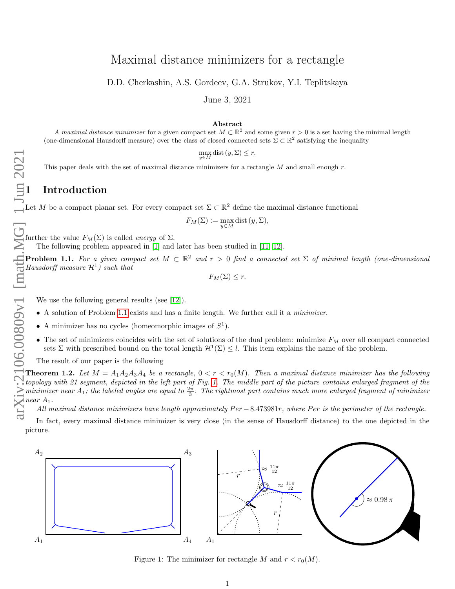# <span id="page-0-3"></span>Maximal distance minimizers for a rectangle

D.D. Cherkashin, A.S. Gordeev, G.A. Strukov, Y.I. Teplitskaya

June 3, 2021

#### Abstract

A maximal distance minimizer for a given compact set  $M \subset \mathbb{R}^2$  and some given  $r > 0$  is a set having the minimal length (one-dimensional Hausdorff measure) over the class of closed connected sets  $\Sigma \subset \mathbb{R}^2$  satisfying the inequality

 $\max_{y \in M}$  dist  $(y, \Sigma) \leq r$ .

This paper deals with the set of maximal distance minimizers for a rectangle  $M$  and small enough  $r$ .

Let M be a compact planar set. For every compact set  $\Sigma \subset \mathbb{R}^2$  define the maximal distance functional

$$
F_M(\Sigma) := \max_{y \in M} \text{dist}(y, \Sigma),
$$

further the value  $F_M(\Sigma)$  is called *energy* of  $\Sigma$ .

The following problem appeared in [\[1\]](#page-23-0) and later has been studied in [\[11,](#page-24-0) [12\]](#page-24-1).

<span id="page-0-0"></span>**Problem 1.1.** For a given compact set  $M \subset \mathbb{R}^2$  and  $r > 0$  find a connected set  $\Sigma$  of minimal length (one-dimensional Hausdorff measure  $\mathcal{H}^1$ ) such that

 $F_M(\Sigma) \leq r.$ 

We use the following general results (see [\[12\]](#page-24-1)).

- A solution of Problem [1.1](#page-0-0) exists and has a finite length. We further call it a minimizer.
- A minimizer has no cycles (homeomorphic images of  $S^1$ ).
- The set of minimizers coincides with the set of solutions of the dual problem: minimize  $F_M$  over all compact connected sets  $\Sigma$  with prescribed bound on the total length  $\mathcal{H}^1(\Sigma) \leq l$ . This item explains the name of the problem.

The result of our paper is the following

<span id="page-0-2"></span>**Theorem 1.2.** Let  $M = A_1A_2A_3A_4$  be a rectangle,  $0 < r < r_0(M)$ . Then a maximal distance minimizer has the following topology with 21 segment, depicted in the left part of Fig. [1.](#page-0-1) The middle part of the picture contains enlarged fragment of the minimizer near  $A_1$ ; the labeled angles are equal to  $\frac{2\pi}{3}$ . The rightmost part contains much more enlarged fragment of minimizer near  $A_1$ .

All maximal distance minimizers have length approximately  $Per - 8.473981r$ , where Per is the perimeter of the rectangle.

In fact, every maximal distance minimizer is very close (in the sense of Hausdorff distance) to the one depicted in the picture.



<span id="page-0-1"></span>Figure 1: The minimizer for rectangle M and  $r < r_0(M)$ .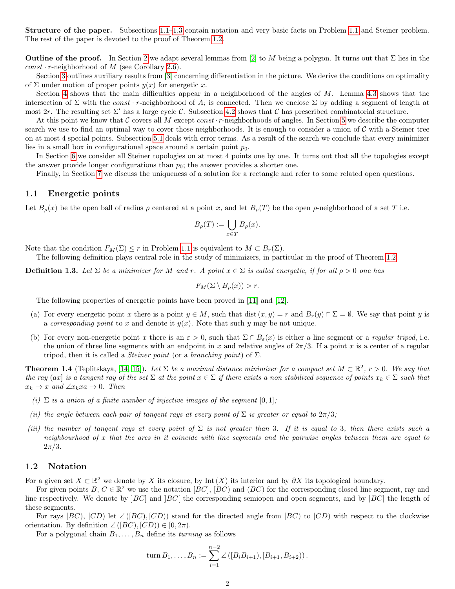Structure of the paper. Subsections [1.1–](#page-1-0)[1.3](#page-2-0) contain notation and very basic facts on Problem [1.1](#page-0-0) and Steiner problem. The rest of the paper is devoted to the proof of Theorem [1.2.](#page-0-2)

**Outline of the proof.** In Section [2](#page-2-1) we adapt several lemmas from [\[2\]](#page-23-1) to M being a polygon. It turns out that  $\Sigma$  lies in the  $const \cdot r$ -neighborhood of M (see Corollary [2.6\)](#page-5-0).

Section [3](#page-5-1) outlines auxiliary results from [\[3\]](#page-24-2) concerning differentiation in the picture. We derive the conditions on optimality of  $\Sigma$  under motion of proper points  $y(x)$  for energetic x.

Section [4](#page-6-0) shows that the main difficulties appear in a neighborhood of the angles of M. Lemma [4.3](#page-7-0) shows that the intersection of  $\Sigma$  with the const · r-neighborhood of  $A_i$  is connected. Then we enclose  $\Sigma$  by adding a segment of length at most 2r. The resulting set  $\Sigma'$  has a large cycle C. Subsection [4.2](#page-10-0) shows that C has prescribed combinatorial structure.

At this point we know that C covers all M except const  $r$ -neighborhoods of angles. In Section [5](#page-12-0) we describe the computer search we use to find an optimal way to cover those neighborhoods. It is enough to consider a union of  $\mathcal C$  with a Steiner tree on at most 4 special points. Subsection [5.1](#page-15-0) deals with error terms. As a result of the search we conclude that every minimizer lies in a small box in configurational space around a certain point  $p_0$ .

In Section [6](#page-17-0) we consider all Steiner topologies on at most 4 points one by one. It turns out that all the topologies except the answer provide longer configurations than  $p_0$ ; the answer provides a shorter one.

Finally, in Section [7](#page-23-2) we discuss the uniqueness of a solution for a rectangle and refer to some related open questions.

#### <span id="page-1-0"></span>1.1 Energetic points

Let  $B_{\rho}(x)$  be the open ball of radius  $\rho$  centered at a point x, and let  $B_{\rho}(T)$  be the open  $\rho$ -neighborhood of a set T i.e.

$$
B_{\rho}(T) := \bigcup_{x \in T} B_{\rho}(x).
$$

Note that the condition  $F_M(\Sigma) \leq r$  in Problem [1.1](#page-0-0) is equivalent to  $M \subset \overline{B_r(\Sigma)}$ .

The following definition plays central role in the study of minimizers, in particular in the proof of Theorem [1.2.](#page-0-2)

**Definition 1.3.** Let  $\Sigma$  be a minimizer for M and r. A point  $x \in \Sigma$  is called energetic, if for all  $\rho > 0$  one has

$$
F_M(\Sigma \setminus B_{\rho}(x)) > r.
$$

The following properties of energetic points have been proved in [\[11\]](#page-24-0) and [\[12\]](#page-24-1).

- (a) For every energetic point x there is a point  $y \in M$ , such that dist  $(x, y) = r$  and  $B_r(y) \cap \Sigma = \emptyset$ . We say that point y is a corresponding point to x and denote it  $y(x)$ . Note that such y may be not unique.
- (b) For every non-energetic point x there is an  $\varepsilon > 0$ , such that  $\Sigma \cap B_{\varepsilon}(x)$  is either a line segment or a *regular tripod*, i.e. the union of three line segments with an endpoint in x and relative angles of  $2\pi/3$ . If a point x is a center of a regular tripod, then it is called a *Steiner point* (or a *branching point*) of  $\Sigma$ .

**Theorem 1.4** (Teplitskaya, [\[14,](#page-24-3) [15\]](#page-24-4)). Let  $\Sigma$  be a maximal distance minimizer for a compact set  $M \subset \mathbb{R}^2$ ,  $r > 0$ . We say that the ray (ax) is a tangent ray of the set  $\Sigma$  at the point  $x \in \Sigma$  if there exists a non stabilized sequence of points  $x_k \in \Sigma$  such that  $x_k \to x$  and  $\angle x_k x_k \to 0$ . Then

- (i)  $\Sigma$  is a union of a finite number of injective images of the segment [0, 1];
- (ii) the angle between each pair of tangent rays at every point of  $\Sigma$  is greater or equal to  $2\pi/3$ ;
- (iii) the number of tangent rays at every point of  $\Sigma$  is not greater than 3. If it is equal to 3, then there exists such a neighbourhood of x that the arcs in it coincide with line segments and the pairwise angles between them are equal to  $2\pi/3$ .

#### 1.2 Notation

For a given set  $X \subset \mathbb{R}^2$  we denote by  $\overline{X}$  its closure, by Int  $(X)$  its interior and by  $\partial X$  its topological boundary.

For given points  $B, C \in \mathbb{R}^2$  we use the notation  $[BC]$ ,  $[BC]$  and  $(BC)$  for the corresponding closed line segment, ray and line respectively. We denote by  $|BC|$  and  $|BC|$  the corresponding semiopen and open segments, and by  $|BC|$  the length of these segments.

For rays  $[BC]$ ,  $[CD]$  let  $\angle([BC), [CD])$  stand for the directed angle from  $[BC]$  to  $[CD)$  with respect to the clockwise orientation. By definition  $\angle ([BC), [CD]) \in [0, 2\pi)$ .

For a polygonal chain  $B_1, \ldots, B_n$  define its *turning* as follows

turn 
$$
B_1, ..., B_n := \sum_{i=1}^{n-2} \angle ([B_i B_{i+1}), [B_{i+1}, B_{i+2})).
$$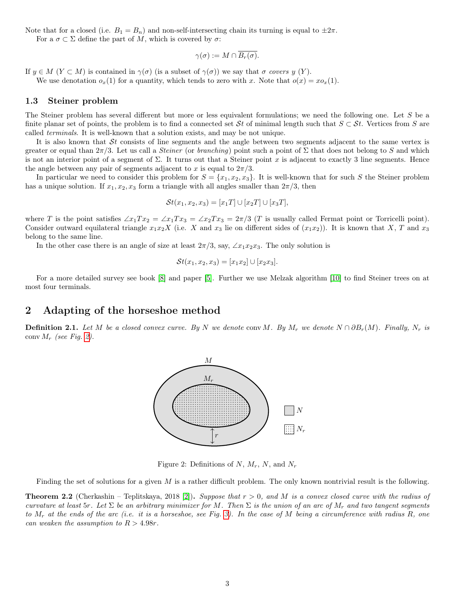Note that for a closed (i.e.  $B_1 = B_n$ ) and non-self-intersecting chain its turning is equal to  $\pm 2\pi$ . For a  $\sigma \subset \Sigma$  define the part of M, which is covered by  $\sigma$ :

$$
\gamma(\sigma) := M \cap \overline{B_r(\sigma)}.
$$

If  $y \in M$   $(Y \subset M)$  is contained in  $\gamma(\sigma)$  (is a subset of  $\gamma(\sigma)$ ) we say that  $\sigma$  covers y  $(Y)$ . We use denotation  $o_x(1)$  for a quantity, which tends to zero with x. Note that  $o(x) = x o_x(1)$ .

#### <span id="page-2-0"></span>1.3 Steiner problem

The Steiner problem has several different but more or less equivalent formulations; we need the following one. Let S be a finite planar set of points, the problem is to find a connected set St of minimal length such that  $S \subset St$ . Vertices from S are called terminals. It is well-known that a solution exists, and may be not unique.

It is also known that  $St$  consists of line segments and the angle between two segments adjacent to the same vertex is greater or equal than  $2\pi/3$ . Let us call a *Steiner* (or *branching*) point such a point of  $\Sigma$  that does not belong to S and which is not an interior point of a segment of  $\Sigma$ . It turns out that a Steiner point x is adjacent to exactly 3 line segments. Hence the angle between any pair of segments adjacent to x is equal to  $2\pi/3$ .

In particular we need to consider this problem for  $S = \{x_1, x_2, x_3\}$ . It is well-known that for such S the Steiner problem has a unique solution. If  $x_1, x_2, x_3$  form a triangle with all angles smaller than  $2\pi/3$ , then

$$
\mathcal{S}t(x_1, x_2, x_3) = [x_1T] \cup [x_2T] \cup [x_3T],
$$

where T is the point satisfies  $\angle x_1Tx_2 = \angle x_1Tx_3 = \angle x_2Tx_3 = 2\pi/3$  (T is usually called Fermat point or Torricelli point). Consider outward equilateral triangle  $x_1x_2X$  (i.e. X and  $x_3$  lie on different sides of  $(x_1x_2)$ ). It is known that X, T and  $x_3$ belong to the same line.

In the other case there is an angle of size at least  $2\pi/3$ , say,  $\angle x_1x_2x_3$ . The only solution is

$$
\mathcal{S}t(x_1, x_2, x_3) = [x_1x_2] \cup [x_2x_3].
$$

For a more detailed survey see book [\[8\]](#page-24-5) and paper [\[5\]](#page-24-6). Further we use Melzak algorithm [\[10\]](#page-24-7) to find Steiner trees on at most four terminals.

## <span id="page-2-1"></span>2 Adapting of the horseshoe method

**Definition 2.1.** Let M be a closed convex curve. By N we denote conv M. By  $M_r$  we denote  $N \cap \partial B_r(M)$ . Finally,  $N_r$  is conv  $M_r$  (see Fig. [2\)](#page-2-2).



<span id="page-2-2"></span>Figure 2: Definitions of  $N, M_r, N$ , and  $N_r$ 

Finding the set of solutions for a given  $M$  is a rather difficult problem. The only known nontrivial result is the following.

<span id="page-2-3"></span>**Theorem 2.2** (Cherkashin – Teplitskaya, 2018 [\[2\]](#page-23-1)). Suppose that  $r > 0$ , and M is a convex closed curve with the radius of curvature at least 5r. Let  $\Sigma$  be an arbitrary minimizer for M. Then  $\Sigma$  is the union of an arc of  $M_r$  and two tangent segments to  $M_r$  at the ends of the arc (i.e. it is a horseshoe, see Fig. [3\)](#page-3-0). In the case of M being a circumference with radius R, one can weaken the assumption to  $R > 4.98r$ .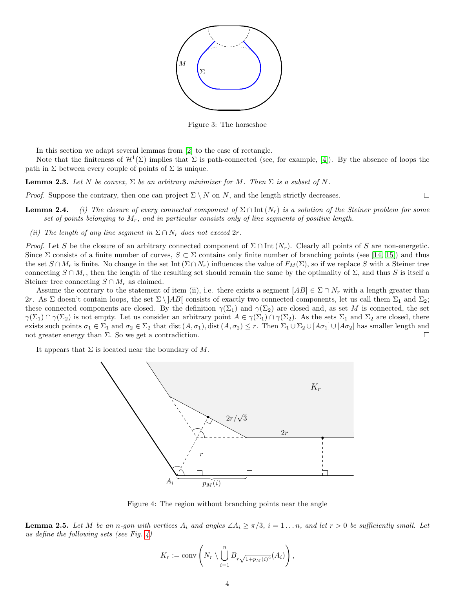

<span id="page-3-0"></span>Figure 3: The horseshoe

In this section we adapt several lemmas from [\[2\]](#page-23-1) to the case of rectangle.

Note that the finiteness of  $\mathcal{H}^1(\Sigma)$  implies that  $\Sigma$  is path-connected (see, for example, [\[4\]](#page-24-8)). By the absence of loops the path in  $\Sigma$  between every couple of points of  $\Sigma$  is unique.

**Lemma 2.3.** Let N be convex,  $\Sigma$  be an arbitrary minimizer for M. Then  $\Sigma$  is a subset of N.

*Proof.* Suppose the contrary, then one can project  $\Sigma \setminus N$  on N, and the length strictly decreases.

**Lemma 2.4.** (i) The closure of every connected component of  $\Sigma \cap$  Int  $(N_r)$  is a solution of the Steiner problem for some set of points belonging to  $M_r$ , and in particular consists only of line segments of positive length.

 $\Box$ 

(ii) The length of any line segment in  $\Sigma \cap N_r$  does not exceed  $2r$ .

*Proof.* Let S be the closure of an arbitrary connected component of  $\Sigma \cap$  Int  $(N_r)$ . Clearly all points of S are non-energetic. Since  $\Sigma$  consists of a finite number of curves,  $S \subset \Sigma$  contains only finite number of branching points (see [\[14,](#page-24-3) [15\]](#page-24-4)) and thus the set  $S \cap M_r$  is finite. No change in the set Int  $(\Sigma \cap N_r)$  influences the value of  $F_M(\Sigma)$ , so if we replace S with a Steiner tree connecting  $S \cap M_r$ , then the length of the resulting set should remain the same by the optimality of  $\Sigma$ , and thus S is itself a Steiner tree connecting  $S \cap M_r$  as claimed.

Assume the contrary to the statement of item (ii), i.e. there exists a segment  $[AB] \in \Sigma \cap N_r$  with a length greater than 2r. As  $\Sigma$  doesn't contain loops, the set  $\Sigma \backslash |AB|$  consists of exactly two connected components, let us call them  $\Sigma_1$  and  $\Sigma_2$ ; these connected components are closed. By the definition  $\gamma(\Sigma_1)$  and  $\gamma(\Sigma_2)$  are closed and, as set M is connected, the set  $\gamma(\Sigma_1) \cap \gamma(\Sigma_2)$  is not empty. Let us consider an arbitrary point  $A \in \gamma(\Sigma_1) \cap \gamma(\Sigma_2)$ . As the sets  $\Sigma_1$  and  $\Sigma_2$  are closed, there exists such points  $\sigma_1 \in \Sigma_1$  and  $\sigma_2 \in \Sigma_2$  that dist  $(A, \sigma_1)$ , dist  $(A, \sigma_2) \leq r$ . Then  $\Sigma_1 \cup \Sigma_2 \cup [A\sigma_1] \cup [A\sigma_2]$  has smaller length and not greater energy than  $\Sigma$ . So we get a contradiction.  $\Box$ 

It appears that  $\Sigma$  is located near the boundary of M.



<span id="page-3-1"></span>Figure 4: The region without branching points near the angle

**Lemma 2.5.** Let M be an n-gon with vertices  $A_i$  and angles  $\angle A_i \geq \pi/3$ ,  $i = 1 \dots n$ , and let  $r > 0$  be sufficiently small. Let us define the following sets (see Fig. [4\)](#page-3-1)

$$
K_r := \text{conv}\left(N_r \setminus \bigcup_{i=1}^n B_{r\sqrt{1 + p_M(i)^2}}(A_i)\right),
$$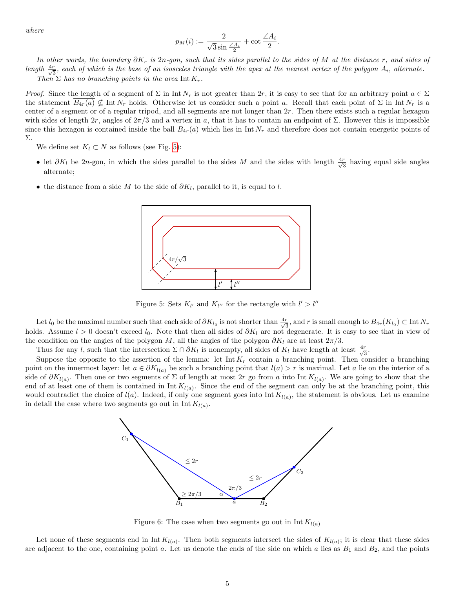where

$$
p_M(i):=\frac{2}{\sqrt{3}\sin\frac{\angle A_i}{2}}+\cot\frac{\angle A_i}{2}.
$$

In other words, the boundary  $\partial K_r$  is 2n-gon, such that its sides parallel to the sides of M at the distance r, and sides of length  $\frac{4r}{\sqrt{6}}$  $\frac{1}{3}$ , each of which is the base of an isosceles triangle with the apex at the nearest vertex of the polygon  $A_i$ , alternate. Then  $\Sigma$  has no branching points in the area Int  $K_r$ .

*Proof.* Since the length of a segment of  $\Sigma$  in Int  $N_r$  is not greater than  $2r$ , it is easy to see that for an arbitrary point  $a \in \Sigma$ the statement  $B_{4r}(a) \nsubseteq \text{Int } N_r$  holds. Otherwise let us consider such a point a. Recall that each point of  $\Sigma$  in Int  $N_r$  is a center of a segment or of a regular tripod, and all segments are not longer than 2r. Then there exists such a regular hexagon with sides of length  $2r$ , angles of  $2\pi/3$  and a vertex in a, that it has to contain an endpoint of  $\Sigma$ . However this is impossible since this hexagon is contained inside the ball  $B_{4r}(a)$  which lies in Int  $N_r$  and therefore does not contain energetic points of Σ.

We define set  $K_l \subset N$  as follows (see Fig. [5\)](#page-4-0):

- let  $\partial K_l$  be 2n-gon, in which the sides parallel to the sides M and the sides with length  $\frac{4r}{\sqrt{3}}$  $\frac{r}{3}$  having equal side angles alternate;
- the distance from a side M to the side of  $\partial K_l$ , parallel to it, is equal to l.



<span id="page-4-0"></span>Figure 5: Sets  $K_{l'}$  and  $K_{l''}$  for the rectangle with  $l' > l''$ 

Let  $l_0$  be the maximal number such that each side of  $\partial K_{l_0}$  is not shorter than  $\frac{4r}{\sqrt{3}}$  $\frac{r}{3}$ , and r is small enough to  $B_{4r}(K_{l_0}) \subset \text{Int } N_r$ holds. Assume  $l > 0$  doesn't exceed  $l_0$ . Note that then all sides of  $\partial K_l$  are not degenerate. It is easy to see that in view of the condition on the angles of the polygon  $M$ , all the angles of the polygon  $\partial K_l$  are at least  $2\pi/3$ .

Thus for any l, such that the intersection  $\Sigma \cap \partial K_l$  is nonempty, all sides of  $K_l$  have length at least  $\frac{4r}{\sqrt{3}}$  $rac{r}{3}$ .

Suppose the opposite to the assertion of the lemma: let  $\text{Int } K_r$  contain a branching point. Then consider a branching point on the innermost layer: let  $a \in \partial K_{l(a)}$  be such a branching point that  $l(a) > r$  is maximal. Let a lie on the interior of a side of  $\partial K_{l(a)}$ . Then one or two segments of  $\Sigma$  of length at most 2r go from a into Int  $K_{l(a)}$ . We are going to show that the end of at least one of them is contained in  $Int K_{l(a)}$ . Since the end of the segment can only be at the branching point, this would contradict the choice of  $l(a)$ . Indeed, if only one segment goes into Int  $K_{l(a)}$ , the statement is obvious. Let us examine in detail the case where two segments go out in  $Int K_{l(a)}$ .



<span id="page-4-1"></span>Figure 6: The case when two segments go out in Int  $K_{l(a)}$ 

Let none of these segments end in Int  $K_{l(a)}$ . Then both segments intersect the sides of  $K_{l(a)}$ ; it is clear that these sides are adjacent to the one, containing point a. Let us denote the ends of the side on which a lies as  $B_1$  and  $B_2$ , and the points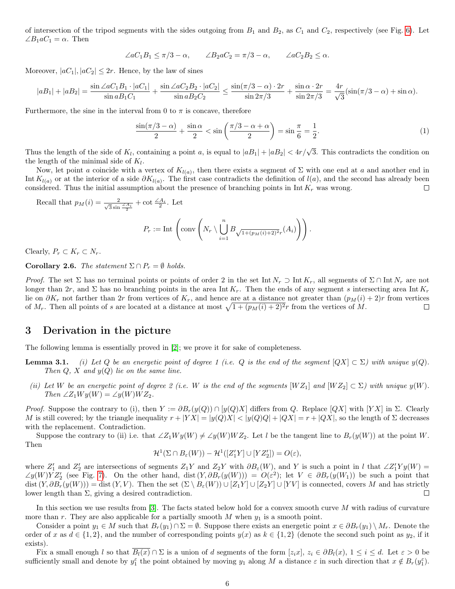of intersection of the tripod segments with the sides outgoing from  $B_1$  and  $B_2$ , as  $C_1$  and  $C_2$ , respectively (see Fig. [6\)](#page-4-1). Let  $\angle B_1 a C_1 = \alpha$ . Then

$$
\angle aC_1B_1 \le \pi/3 - \alpha, \qquad \angle B_2aC_2 = \pi/3 - \alpha, \qquad \angle aC_2B_2 \le \alpha.
$$

Moreover,  $|aC_1|, |aC_2| \leq 2r$ . Hence, by the law of sines

$$
|aB_1| + |aB_2| = \frac{\sin \angle aC_1B_1 \cdot |aC_1|}{\sin aB_1C_1} + \frac{\sin \angle aC_2B_2 \cdot |aC_2|}{\sin aB_2C_2} \le \frac{\sin(\pi/3 - \alpha) \cdot 2r}{\sin 2\pi/3} + \frac{\sin \alpha \cdot 2r}{\sin 2\pi/3} = \frac{4r}{\sqrt{3}}(\sin(\pi/3 - \alpha) + \sin \alpha).
$$

Furthermore, the sine in the interval from 0 to  $\pi$  is concave, therefore

$$
\frac{\sin(\pi/3 - \alpha)}{2} + \frac{\sin \alpha}{2} < \sin\left(\frac{\pi/3 - \alpha + \alpha}{2}\right) = \sin\frac{\pi}{6} = \frac{1}{2}.\tag{1}
$$

Thus the length of the side of  $K_l$ , containing a point a, is equal to  $|aB_1| + |aB_2| < 4r/\sqrt{3}$ . This contradicts the condition on the length of the minimal side of  $K_l$ .

Now, let point a coincide with a vertex of  $K_{l(a)}$ , then there exists a segment of  $\Sigma$  with one end at a and another end in Int  $K_{l(a)}$  or at the interior of a side  $\partial K_{l(a)}$ . The first case contradicts the definition of  $l(a)$ , and the second has already been considered. Thus the initial assumption about the presence of branching points in Int  $K_r$  was wrong.  $\Box$ 

Recall that  $p_M(i) = \frac{2}{\sqrt{3}\sin \frac{\angle A_i}{2}} + \cot \frac{\angle A_i}{2}$ . Let

$$
P_r := \text{Int}\left(\text{conv}\left(N_r \setminus \bigcup_{i=1}^n B_{\sqrt{1 + (p_M(i) + 2)^2}r}(A_i)\right)\right).
$$

Clearly,  $P_r \subset K_r \subset N_r$ .

<span id="page-5-0"></span>Corollary 2.6. The statement  $\Sigma \cap P_r = \emptyset$  holds.

*Proof.* The set  $\Sigma$  has no terminal points or points of order 2 in the set Int  $N_r \supset$  Int  $K_r$ , all segments of  $\Sigma \cap$  Int  $N_r$  are not longer than  $2r$ , and  $\Sigma$  has no branching points in the area Int  $K_r$ . Then the ends of any segment s intersecting area Int  $K_r$ lie on  $\partial K_r$  not farther than 2r from vertices of  $K_r$ , and hence are at a distance not greater than  $(p_M(i) + 2)r$  from vertices of  $M_r$ . Then all points of s are located at a distance at most  $\sqrt{1 + (p_M(i) + 2)^2}r$  from the vertices of M.  $\Box$ 

## <span id="page-5-1"></span>3 Derivation in the picture

The following lemma is essentially proved in [\[2\]](#page-23-1); we prove it for sake of completeness.

- **Lemma 3.1.** (i) Let Q be an energetic point of degree 1 (i.e. Q is the end of the segment  $[QX] \subset \Sigma$ ) with unique  $y(Q)$ . Then  $Q$ ,  $X$  and  $y(Q)$  lie on the same line.
	- (ii) Let W be an energetic point of degree 2 (i.e. W is the end of the segments  $[WZ_1]$  and  $[WZ_2] \subset \Sigma$ ) with unique  $y(W)$ . Then  $\angle Z_1 W y(W) = \angle y(W) W Z_2$ .

*Proof.* Suppose the contrary to (i), then  $Y := \partial B_r(y(Q)) \cap [y(Q)X]$  differs from Q. Replace  $[QX]$  with  $[YX]$  in  $\Sigma$ . Clearly M is still covered; by the triangle inequality  $r + |YX| = |y(Q)X| < |y(Q)Q| + |QX| = r + |QX|$ , so the length of  $\Sigma$  decreases with the replacement. Contradiction.

Suppose the contrary to (ii) i.e. that  $\angle Z_1W y(W) \neq \angle y(W)W Z_2$ . Let l be the tangent line to  $B_r(y(W))$  at the point W. Then

$$
\mathcal{H}^1(\Sigma \cap B_{\varepsilon}(W)) - \mathcal{H}^1([Z_1'Y] \cup [YZ_2']) = O(\varepsilon),
$$

where  $Z'_1$  and  $Z'_2$  are intersections of segments  $Z_1Y$  and  $Z_2Y$  with  $\partial B_{\varepsilon}(W)$ , and Y is such a point in l that  $\angle Z'_1Yy(W)$  =  $\angle y(W)YZ'_2$  (see Fig. [7\)](#page-6-1). On the other hand, dist  $(Y, \partial B_r(y(W))) = O(\varepsilon^2)$ ; let  $V \in \partial B_r(y(W_1))$  be such a point that  $\text{dist}(Y, \partial B_r(y(W))) = \text{dist}(Y, V)$ . Then the set  $(\Sigma \setminus B_\varepsilon(W)) \cup [Z_1Y] \cup [Z_2Y] \cup [YV]$  is connected, covers M and has strictly lower length than  $\Sigma$ , giving a desired contradiction.  $\Box$ 

In this section we use results from  $[3]$ . The facts stated below hold for a convex smooth curve M with radius of curvature more than r. They are also applicable for a partially smooth  $M$  when  $y_1$  is a smooth point.

Consider a point  $y_1 \in M$  such that  $B_r(y_1) \cap \Sigma = \emptyset$ . Suppose there exists an energetic point  $x \in \partial B_r(y_1) \setminus M_r$ . Denote the order of x as  $d \in \{1,2\}$ , and the number of corresponding points  $y(x)$  as  $k \in \{1,2\}$  (denote the second such point as  $y_2$ , if it exists).

Fix a small enough l so that  $B_l(x) \cap \Sigma$  is a union of d segments of the form  $[z_ix]$ ,  $z_i \in \partial B_l(x)$ ,  $1 \leq i \leq d$ . Let  $\varepsilon > 0$  be sufficiently small and denote by  $y_1^{\varepsilon}$  the point obtained by moving  $y_1$  along M a distance  $\varepsilon$  in such direction that  $x \notin B_r(y_1^{\varepsilon})$ .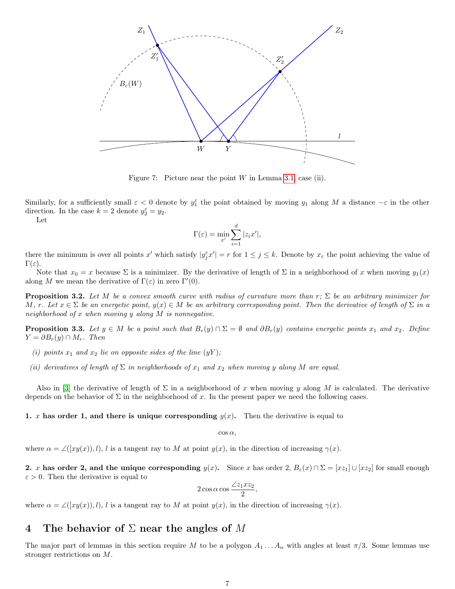

<span id="page-6-1"></span>Figure 7: Picture near the point  $W$  in Lemma [3.1,](#page-0-3) case (ii).

Similarly, for a sufficiently small  $\varepsilon < 0$  denote by  $y_1^{\varepsilon}$  the point obtained by moving  $y_1$  along M a distance  $-\varepsilon$  in the other direction. In the case  $k = 2$  denote  $y_2^{\varepsilon} = y_2$ .

Let

$$
\Gamma(\varepsilon) = \min_{x'} \sum_{i=1}^{d} |z_i x'|,
$$

there the minimum is over all points x' which satisfy  $|y_j^{\varepsilon}x'| = r$  for  $1 \le j \le k$ . Denote by  $x_{\varepsilon}$  the point achieving the value of  $\Gamma(\varepsilon)$ .

Note that  $x_0 = x$  because  $\Sigma$  is a minimizer. By the derivative of length of  $\Sigma$  in a neighborhood of x when moving  $y_1(x)$ along M we mean the derivative of  $\Gamma(\varepsilon)$  in zero  $\Gamma'(0)$ .

**Proposition 3.2.** Let M be a convex smooth curve with radius of curvature more than r;  $\Sigma$  be an arbitrary minimizer for M, r. Let  $x \in \Sigma$  be an energetic point,  $y(x) \in M$  be an arbitrary corresponding point. Then the derivative of length of  $\Sigma$  in a neighborhood of x when moving y along M is nonnegative.

<span id="page-6-2"></span>**Proposition 3.3.** Let  $y \in M$  be a point such that  $B_r(y) \cap \Sigma = \emptyset$  and  $\partial B_r(y)$  contains energetic points  $x_1$  and  $x_2$ . Define  $Y = \partial B_r(y) \cap M_r$ . Then

- (i) points  $x_1$  and  $x_2$  lie on opposite sides of the line  $(yY)$ ;
- (ii) derivatives of length of  $\Sigma$  in neighborhoods of  $x_1$  and  $x_2$  when moving y along M are equal.

Also in [\[3\]](#page-24-2) the derivative of length of  $\Sigma$  in a neighborhood of x when moving y along M is calculated. The derivative depends on the behavior of  $\Sigma$  in the neighborhood of x. In the present paper we need the following cases.

1. x has order 1, and there is unique corresponding  $y(x)$ . Then the derivative is equal to

 $\cos \alpha$ ,

where  $\alpha = \angle([xy(x)), l), l$  is a tangent ray to M at point  $y(x)$ , in the direction of increasing  $\gamma(x)$ .

2. x has order 2, and the unique corresponding  $y(x)$ . Since x has order 2,  $B_{\varepsilon}(x) \cap \Sigma = [xz_1] \cup [xz_2]$  for small enough  $\varepsilon > 0$ . Then the derivative is equal to

$$
2\cos\alpha\cos\frac{2z_1xz_2}{2},
$$

where  $\alpha = \angle([xy(x)), l), l$  is a tangent ray to M at point  $y(x)$ , in the direction of increasing  $\gamma(x)$ .

## <span id="page-6-0"></span>4 The behavior of  $\Sigma$  near the angles of M

The major part of lemmas in this section require M to be a polygon  $A_1 \ldots A_n$  with angles at least  $\pi/3$ . Some lemmas use stronger restrictions on M.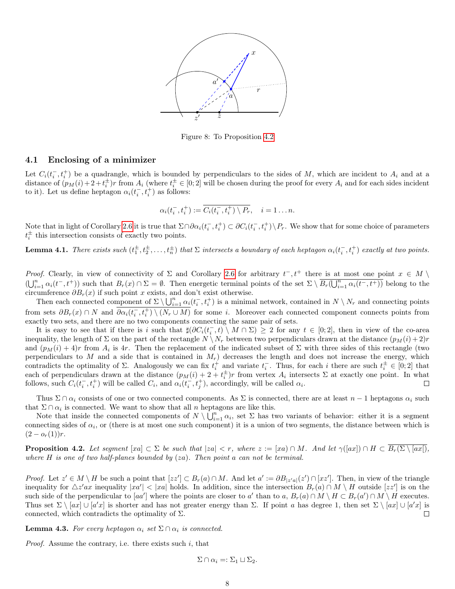

Figure 8: To Proposition [4.2](#page-7-1)

#### 4.1 Enclosing of a minimizer

Let  $C_i(t_i^-, t_i^+)$  be a quadrangle, which is bounded by perpendiculars to the sides of M, which are incident to  $A_i$  and at a distance of  $(p_M(i) + 2 + t_i^{\pm})r$  from  $A_i$  (where  $t_i^{\pm} \in [0,2]$  will be chosen during the proof for every  $A_i$  and for each sides incident to it). Let us define heptagon  $\alpha_i(t_i^-, t_i^+)$  as follows:

$$
\alpha_i(t_i^-, t_i^+) := \overline{C_i(t_i^-, t_i^+) \setminus P_r}, \quad i = 1 \dots n.
$$

Note that in light of Corollary [2.6](#page-5-0) it is true that  $\Sigma \cap \partial \alpha_i(t_i^-, t_i^+) \subset \partial C_i(t_i^-, t_i^+) \setminus P_r$ . We show that for some choice of parameters  $t_i^{\pm}$  this intersection consists of exactly two points.

**Lemma 4.1.** There exists such  $(t_1^{\pm}, t_2^{\pm}, \ldots, t_n^{\pm})$  that  $\Sigma$  intersects a boundary of each heptagon  $\alpha_i(t_i^-, t_i^+)$  exactly at two points.

*Proof.* Clearly, in view of connectivity of  $\Sigma$  and Corollary [2.6](#page-5-0) for arbitrary  $t^-, t^+$  there is at most one point  $x \in M \setminus$  $(\bigcup_{i=1}^n \alpha_i(t^-, t^+))$  such that  $B_r(x) \cap \Sigma = \emptyset$ . Then energetic terminal points of the set  $\Sigma \setminus \overline{B_r(\bigcup_{i=1}^n \alpha_i(t^-, t^+))}$  belong to the circumference  $\partial B_r(x)$  if such point x exists, and don't exist otherwise.

Then each connected component of  $\Sigma \setminus \bigcup_{i=1}^n \alpha_i(t_i^-, t_i^+)$  is a minimal network, contained in  $N \setminus N_r$  and connecting points from sets  $\partial B_r(x) \cap N$  and  $\overline{\partial \alpha_i(t_i^-, t_i^+)} \setminus (N_r \cup M)$  for some i. Moreover each connected component connects points from exactly two sets, and there are no two components connecting the same pair of sets.

It is easy to see that if there is i such that  $\sharp(\partial C_i(t_i^-, t) \setminus M \cap \Sigma) \geq 2$  for any  $t \in [0,2]$ , then in view of the co-area inequality, the length of  $\Sigma$  on the part of the rectangle  $N \setminus N_r$  between two perpendiculars drawn at the distance  $(p_M(i) + 2)r$ and  $(p_M(i) + 4)r$  from  $A_i$  is 4r. Then the replacement of the indicated subset of  $\Sigma$  with three sides of this rectangle (two perpendiculars to  $M$  and a side that is contained in  $M_r$ ) decreases the length and does not increase the energy, which contradicts the optimality of  $\Sigma$ . Analogously we can fix  $t_i^+$  and variate  $t_i^-$ . Thus, for each i there are such  $t_i^{\pm} \in [0,2]$  that each of perpendiculars drawn at the distance  $(p_M(i) + 2 + t_i^{\pm})r$  from vertex  $A_i$  intersects  $\Sigma$  at exactly one point. In what follows, such  $C_i(t_i^-, t_i^+)$  will be called  $C_i$ , and  $\alpha_i(t_i^-, t_j^+)$ , accordingly, will be called  $\alpha_i$ .  $\Box$ 

Thus  $\Sigma \cap \alpha_i$  consists of one or two connected components. As  $\Sigma$  is connected, there are at least  $n-1$  heptagons  $\alpha_i$  such that  $\Sigma \cap \alpha_i$  is connected. We want to show that all n heptagons are like this.

Note that inside the connected components of  $N \setminus \bigcup_{i=1}^{n} \alpha_i$ , set  $\Sigma$  has two variants of behavior: either it is a segment connecting sides of  $\alpha_i$ , or (there is at most one such component) it is a union of two segments, the distance between which is  $(2-o<sub>r</sub>(1))r$ .

<span id="page-7-1"></span>**Proposition 4.2.** Let segment  $[xa] \subset \Sigma$  be such that  $|za| < r$ , where  $z := [xa) \cap M$ . And let  $\gamma([ax]) \cap H \subset B_r(\Sigma \setminus [ax])$ , where  $H$  is one of two half-planes bounded by  $(za)$ . Then point a can not be terminal.

*Proof.* Let  $z' \in M \setminus H$  be such a point that  $[zz'] \subset B_r(a) \cap M$ . And let  $a' := \partial B_{|z'|}(z') \cap [xz']$ . Then, in view of the triangle inequality for  $\Delta z'ax$  inequality  $|xa'| < |xa|$  holds. In addition, since the intersection  $B_r(a) \cap M \setminus H$  outside  $[zz']$  is on the such side of the perpendicular to [aa'] where the points are closer to a' than to a,  $B_r(a) \cap M \setminus H \subset B_r(a') \cap M \setminus H$  executes. Thus set  $\Sigma \setminus [ax] \cup [a'x]$  is shorter and has not greater energy than  $\Sigma$ . If point a has degree 1, then set  $\Sigma \setminus [ax] \cup [a'x]$  is connected, which contradicts the optimality of  $\Sigma$ .  $\Box$ 

<span id="page-7-0"></span>**Lemma 4.3.** For every heptagon  $\alpha_i$  set  $\Sigma \cap \alpha_i$  is connected.

*Proof.* Assume the contrary, i.e. there exists such  $i$ , that

$$
\Sigma \cap \alpha_i =: \Sigma_1 \sqcup \Sigma_2.
$$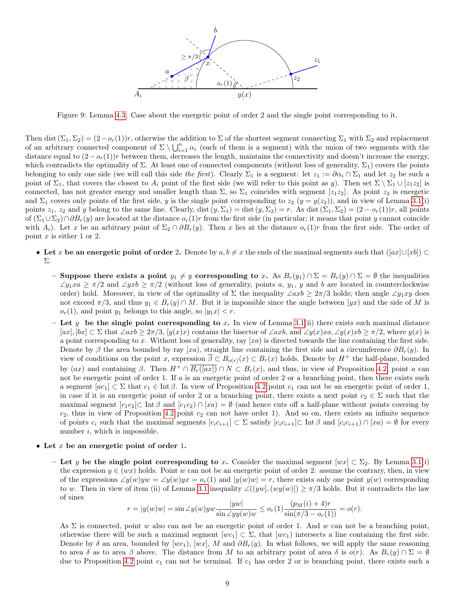

Figure 9: Lemma [4.3.](#page-7-0) Case about the energetic point of order 2 and the single point corresponding to it.

Then dist  $(\Sigma_1, \Sigma_2) = (2 - o_r(1))r$ , otherwise the addition to  $\Sigma$  of the shortest segment connecting  $\Sigma_1$  with  $\Sigma_2$  and replacement of an arbitrary connected component of  $\Sigma \setminus \bigcup_{i=1}^n \alpha_i$  (each of them is a segment) with the union of two segments with the distance equal to  $(2-o<sub>r</sub>(1))r$  between them, decreases the length, maintains the connectivity and doesn't increase the energy, which contradicts the optimality of  $\Sigma$ . At least one of connected components (without loss of generality,  $\Sigma_1$ ) covers the points belonging to only one side (we will call this side the first). Clearly  $\Sigma_1$  is a segment: let  $z_1 := \partial \alpha_i \cap \Sigma_1$  and let  $z_2$  be such a point of  $\Sigma_1$ , that covers the closest to  $A_i$  point of the first side (we will refer to this point as y). Then set  $\Sigma \setminus \Sigma_1 \cup [z_1z_2]$  is connected, has not greater energy and smaller length than  $\Sigma$ , so  $\Sigma_1$  coincides with segment [ $z_1z_2$ ]. As point  $z_2$  is energetic and  $\Sigma_1$  covers only points of the first side, y is the single point corresponding to  $z_2$  (y = y(z<sub>2</sub>)), and in view of Lemma [3.1\(](#page-0-3)i) points  $z_1$ ,  $z_2$  and y belong to the same line. Clearly, dist  $(y, \Sigma_1) = \text{dist}(y, \Sigma_2) = r$ . As dist  $(\Sigma_1, \Sigma_2) = (2 - o_r(1))r$ , all points of  $(\Sigma_1 \cup \Sigma_2) \cap \partial B_r(y)$  are located at the distance  $o_r(1)r$  from the first side (in particular; it means that point y cannot coincide with  $A_i$ ). Let x be an arbitrary point of  $\Sigma_2 \cap \partial B_r(y)$ . Then x lies at the distance  $o_r(1)r$  from the first side. The order of point  $x$  is either 1 or 2.

- Let x be an energetic point of order 2. Denote by  $a, b \neq x$  the ends of the maximal segments such that  $([ax] \cup [xb]) \subset$ Σ.
	- Suppose there exists a point  $y_1 \neq y$  corresponding to x. As  $B_r(y_1) \cap \Sigma = B_r(y) \cap \Sigma = \emptyset$  the inequalities  $\angle y_1 xa \geq \pi/2$  and  $\angle yxb \geq \pi/2$  (without loss of generality, points a,  $y_1$ , y and b are located in counterclockwise order) hold. Moreover, in view of the optimality of  $\Sigma$  the inequality  $\angle axb \geq 2\pi/3$  holds; then angle  $\angle y_1xy$  does not exceed  $\pi/3$ , and thus  $y_1 \in B_r(y) \cap M$ . But it is impossible since the angle between  $[yx]$  and the side of M is  $o_r(1)$ , and point  $y_1$  belongs to this angle, so  $|y_1x| < r$ .
	- Let y be the single point corresponding to x. In view of Lemma [3.1\(](#page-0-3)ii) there exists such maximal distance  $[ax], [bx] \subset \Sigma$  that  $\angle axb \geq 2\pi/3$ ,  $[y(x)x]$  contains the bisector of  $\angle axb$ , and  $\angle y(x)xa, \angle y(x)xb \geq \pi/2$ , where  $y(x)$  is a point corresponding to x. Without loss of generality, ray  $[xa]$  is directed towards the line containing the first side. Denote by  $\beta$  the area bounded by ray [xa), straight line containing the first side and a circumference  $\partial B_r(y)$ . In view of conditions on the point x, expression  $\overline{\beta} \subset B_{o(r)}(x) \subset B_r(x)$  holds. Denote by  $H^+$  the half-plane, bounded by  $(ax)$  and containing  $\beta$ . Then  $H^+ \cap B_r(\overline{[ax]}) \cap N \subset B_r(x)$ , and thus, in view of Proposition [4.2,](#page-7-1) point a can not be energetic point of order 1. If a is an energetic point of order 2 or a branching point, then there exists such a segment  $[ac_1] \subset \Sigma$  that  $c_1 \in \text{Int }\beta$ . In view of Proposition [4.2](#page-7-1) point  $c_1$  can not be an energetic point of order 1, in case if it is an energetic point of order 2 or a branching point, there exists a next point  $c_2 \in \Sigma$  such that the maximal segment  $]c_1c_2[\subset \text{Int }\beta \text{ and } [c_1c_2] \cap [xa] = \emptyset$  (and hence cuts off a half-plane without points covering by  $c_2$ , thus in view of Proposition [4.2](#page-7-1) point  $c_2$  can not have order 1). And so on, there exists an infinite sequence of points  $c_i$  such that the maximal segments  $[c_ic_{i+1}] \subset \Sigma$  satisfy  $[c_ic_{i+1}] \subset \text{Int }\beta$  and  $[c_ic_{i+1}] \cap [xa] = \emptyset$  for every number  $i$ , which is impossible.
- Let  $x$  be an energetic point of order 1.
	- Let y be the single point corresponding to x. Consider the maximal segment  $[wx] \subset \Sigma_2$ . By Lemma [3.1\(](#page-0-3)i) the expression  $y \in (wx)$  holds. Point w can not be an energetic point of order 2: assume the contrary, then, in view of the expressions  $\angle y(w)yw = \angle y(w)yx = o_r(1)$  and  $|y(w)w| = r$ , there exists only one point  $y(w)$  corresponding to w. Then in view of item (ii) of Lemma [3.1](#page-0-3) inequality  $\angle((yw, (wy(w))] \geq \pi/3$  holds. But it contradicts the law of sines

$$
r = |y(w)w| = \sin \angle y(w) yw \frac{|yw|}{\sin \angle yy(w)w} \leq o_r(1) \frac{(p_M(i) + 4)r}{\sin(\pi/3 - o_r(1))} = o(r).
$$

As  $\Sigma$  is connected, point w also can not be an energetic point of order 1. And w can not be a branching point, otherwise there will be such a maximal segment  $[wc_1] \subset \Sigma$ , that  $[wc_1]$  intersects a line containing the first side. Denote by  $\delta$  an area, bounded by [wc<sub>1</sub>), [wx], M and  $\partial B_r(y)$ . In what follows, we will apply the same reasoning to area δ as to area β above. The distance from M to an arbitrary point of area δ is  $o(r)$ . As  $B_r(y) \cap \Sigma = \emptyset$ due to Proposition [4.2](#page-7-1) point  $c_1$  can not be terminal. If  $c_1$  has order 2 or is branching point, there exists such a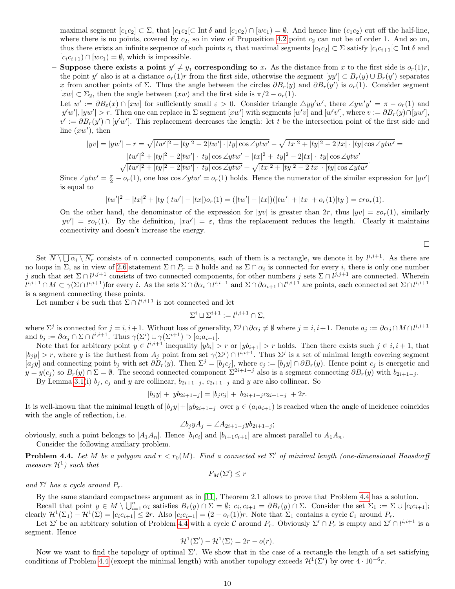maximal segment  $[c_1c_2] \subset \Sigma$ , that  $[c_1c_2] \subset \text{Int } \delta$  and  $[c_1c_2] \cap [wc_1] = \emptyset$ . And hence line  $(c_1c_2)$  cut off the half-line, where there is no points, covered by  $c_2$ , so in view of Proposition [4.2](#page-7-1) point  $c_2$  can not be of order 1. And so on, thus there exists an infinite sequence of such points  $c_i$  that maximal segments  $[c_1c_2] \subset \Sigma$  satisfy  $]c_ic_{i+1}[\subset \text{Int }\delta$  and  $[c_i c_{i+1}) \cap [w c_1) = \emptyset$ , which is impossible.

- Suppose there exists a point  $y' \neq y$ , corresponding to x. As the distance from x to the first side is  $o_r(1)r$ , the point y' also is at a distance  $o_r(1)r$  from the first side, otherwise the segment  $[yy'] \subset B_r(y) \cup B_r(y')$  separates x from another points of  $\Sigma$ . Thus the angle between the circles  $\partial B_r(y)$  and  $\partial B_r(y')$  is  $o_r(1)$ . Consider segment  $[xw] \subset \Sigma_2$ , then the angle between  $(xw)$  and the first side is  $\pi/2 - o_r(1)$ .

Let  $w' := \partial B_{\varepsilon}(x) \cap [xw]$  for sufficiently small  $\varepsilon > 0$ . Consider triangle  $\triangle yy'w'$ , there  $\angle yw'y' = \pi - o_r(1)$  and  $|y'w'|, |yw'| > r$ . Then one can replace in  $\Sigma$  segment  $[xw']$  with segments  $[w'v]$  and  $[w'v']$ , where  $v := \partial B_r(y) \cap [yw']$ ,  $v' := \partial B_r(y') \cap [y'w']$ . This replacement decreases the length: let t be the intersection point of the first side and line  $(xw')$ , then

$$
|yv| = |yw'| - r = \sqrt{|tw'|^2 + |ty|^2 - 2|tw'| \cdot |ty| \cos \angle ytw' - \sqrt{|tx|^2 + |ty|^2 - 2|tx| \cdot |ty| \cos \angle ytw'} =
$$
  

$$
\frac{|tw'|^2 + |ty|^2 - 2|tw'| \cdot |ty| \cos \angle ytw' - |tx|^2 + |ty|^2 - 2|tx| \cdot |ty| \cos \angle ytw'}{\sqrt{|tw'|^2 + |ty|^2 - 2|tw'| \cdot |ty| \cos \angle ytw'} + \sqrt{|tx|^2 + |ty|^2 - 2|tx| \cdot |ty| \cos \angle ytw'}.
$$

Since  $\angle ytw' = \frac{\pi}{2} - o_r(1)$ , one has  $\cos \angle ytw' = o_r(1)$  holds. Hence the numerator of the similar expression for  $|yv'|$ is equal to

$$
|tw'|^2 - |tx|^2 + |ty|(|tw'| - |tx|)o_r(1) = (|tw'| - |tx|)(|tw'| + |tx| + o_r(1)|ty|) = \varepsilon ro_r(1).
$$

On the other hand, the denominator of the expression for  $|yv|$  is greater than  $2r$ , thus  $|yv| = \varepsilon o_r(1)$ , similarly  $|yv'| = \varepsilon o_r(1)$ . By the definition,  $|xw'| = \varepsilon$ , thus the replacement reduces the length. Clearly it maintains connectivity and doesn't increase the energy.

 $\Box$ 

Set  $\overline{N \setminus \bigcup \alpha_i \setminus N_r}$  consists of n connected components, each of them is a rectangle, we denote it by  $l^{i,i+1}$ . As there are no loops in  $\Sigma$ , as in view of [2.6](#page-5-0) statement  $\Sigma \cap P_r = \emptyset$  holds and as  $\Sigma \cap \alpha_i$  is connected for every *i*, there is only one number j such that set  $\Sigma \cap l^{j,j+1}$  consists of two connected components, for other numbers j sets  $\Sigma \cap l^{j,j+1}$  are connected. Wherein  $l^{i,i+1} \cap M \subset \gamma(\Sigma \cap l^{i,i+1})$  for every i. As the sets  $\Sigma \cap \partial \alpha_i \cap l^{i,i+1}$  and  $\Sigma \cap \partial \alpha_{i+1} \cap l^{i,i+1}$  are points, each connected set  $\Sigma \cap l^{i,i+1}$ is a segment connecting these points.

Let number *i* be such that  $\Sigma \cap l^{i,i+1}$  is not connected and let

$$
\Sigma^i \sqcup \Sigma^{i+1} := l^{i,i+1} \cap \Sigma,
$$

where  $\Sigma^j$  is connected for  $j = i, i+1$ . Without loss of generality,  $\Sigma^j \cap \partial \alpha_j \neq \emptyset$  where  $j = i, i+1$ . Denote  $a_j := \partial \alpha_j \cap M \cap l^{i,i+1}$ and  $b_j := \partial \alpha_j \cap \Sigma \cap l^{i,i+1}$ . Thus  $\gamma(\Sigma^i) \cup \gamma(\Sigma^{i+1}) \supset [a_i a_{i+1}]$ .

Note that for arbitrary point  $y \in l^{i,i+1}$  inequality  $|yb_i| > r$  or  $|yb_{i+1}| > r$  holds. Then there exists such  $j \in i, i+1$ , that  $|b_j y| > r$ , where y is the farthest from  $A_j$  point from set  $\gamma(\Sigma^j) \cap l^{i,i+1}$ . Thus  $\Sigma^j$  is a set of minimal length covering segment  $[a_j y]$  and connecting point  $b_j$  with set  $\partial B_r(y)$ . Then  $\Sigma^j = [b_j c_j]$ , where  $c_j := [b_j y] \cap \partial B_r(y)$ . Hence point  $c_j$  is energetic and  $y = y(c_j)$  so  $B_r(y) \cap \Sigma = \emptyset$ . The second connected component  $\Sigma^{2i+1-j}$  also is a segment connecting  $\partial B_r(y)$  with  $b_{2i+1-j}$ .

By Lemma [3.1\(](#page-0-3)i)  $b_j$ ,  $c_j$  and y are collinear,  $b_{2i+1-j}$ ,  $c_{2i+1-j}$  and y are also collinear. So

$$
|b_jy| + |yb_{2i+1-j}| = |b_jc_j| + |b_{2i+1-j}c_{2i+1-j}| + 2r.
$$

It is well-known that the minimal length of  $|b_jy|+|yb_{2i+1-j}|$  over  $y \in (a_ia_{i+1})$  is reached when the angle of incidence coincides with the angle of reflection, i.e.

$$
\angle b_j y A_j = \angle A_{2i+1-j} y b_{2i+1-j};
$$

obviously, such a point belongs to  $[A_1A_n]$ . Hence  $[b_ic_i]$  and  $[b_{i+1}c_{i+1}]$  are almost parallel to  $A_1A_n$ . Consider the following auxiliary problem.

<span id="page-9-0"></span>**Problem 4.4.** Let M be a polygon and  $r < r_0(M)$ . Find a connected set  $\Sigma'$  of minimal length (one-dimensional Hausdorff measure  $\mathcal{H}^1$ ) such that

 $F_M(\Sigma') \leq r$ 

and  $\Sigma'$  has a cycle around  $P_r$ .

By the same standard compactness argument as in [\[11\]](#page-24-0), Theorem 2.1 allows to prove that Problem [4.4](#page-9-0) has a solution. Recall that point  $y \in M \setminus \bigcup_{i=1}^n \alpha_i$  satisfies  $B_r(y) \cap \Sigma = \emptyset$ ;  $c_i, c_{i+1} = \partial B_r(y) \cap \Sigma$ . Consider the set  $\Sigma_1 := \Sigma \cup [c_i c_{i+1}]$ ;

clearly  $\mathcal{H}^1(\Sigma_1) - \mathcal{H}^1(\Sigma) = |c_i c_{i+1}| \leq 2r$ . Also  $|c_i c_{i+1}| = (2 - o_r(1))r$ . Note that  $\Sigma_1$  contains a cycle  $\mathcal{C}_1$  around  $P_r$ .

Let  $\Sigma'$  be an arbitrary solution of Problem [4.4](#page-9-0) with a cycle C around  $P_r$ . Obviously  $\Sigma' \cap P_r$  is empty and  $\Sigma' \cap l^{i,i+1}$  is a segment. Hence

$$
\mathcal{H}^{1}(\Sigma') - \mathcal{H}^{1}(\Sigma) = 2r - o(r).
$$

Now we want to find the topology of optimal  $\Sigma'$ . We show that in the case of a rectangle the length of a set satisfying conditions of Problem [4.4](#page-9-0) (except the minimal length) with another topology exceeds  $\mathcal{H}^1(\Sigma')$  by over  $4 \cdot 10^{-6}r$ .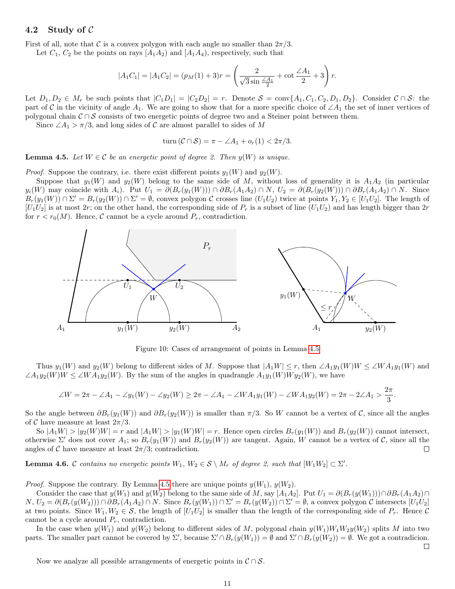#### <span id="page-10-0"></span>4.2 Study of  $\mathcal C$

First of all, note that C is a convex polygon with each angle no smaller than  $2\pi/3$ .

Let  $C_1$ ,  $C_2$  be the points on rays  $[A_1A_2]$  and  $[A_1A_4]$ , respectively, such that

$$
|A_1C_1| = |A_1C_2| = (p_M(1) + 3)r = \left(\frac{2}{\sqrt{3}\sin\frac{\angle A_1}{2}} + \cot\frac{\angle A_1}{2} + 3\right)r.
$$

Let  $D_1, D_2 \in M_r$  be such points that  $|C_1D_1| = |C_2D_2| = r$ . Denote  $S = \text{conv}\{A_1, C_1, C_2, D_1, D_2\}$ . Consider  $C \cap S$ : the part of C in the vicinity of angle A<sub>1</sub>. We are going to show that for a more specific choice of ∠A<sub>1</sub> the set of inner vertices of polygonal chain  $C \cap S$  consists of two energetic points of degree two and a Steiner point between them.

Since  $\angle A_1 > \pi/3$ , and long sides of C are almost parallel to sides of M

turn 
$$
(C \cap S) = \pi - \angle A_1 + o_r(1) < 2\pi/3
$$
.

<span id="page-10-1"></span>**Lemma 4.5.** Let  $W \in \mathcal{C}$  be an energetic point of degree 2. Then  $y(W)$  is unique.

*Proof.* Suppose the contrary, i.e. there exist different points  $y_1(W)$  and  $y_2(W)$ .

Suppose that  $y_1(W)$  and  $y_2(W)$  belong to the same side of M, without loss of generality it is  $A_1A_2$  (in particular  $y_i(W)$  may coincide with  $A_i$ . Put  $U_1 = \partial(B_r(y_1(W))) \cap \partial B_r(A_1A_2) \cap N$ ,  $U_2 = \partial(B_r(y_2(W))) \cap \partial B_r(A_1A_2) \cap N$ . Since  $B_r(y_1(W)) \cap \Sigma' = B_r(y_2(W)) \cap \Sigma' = \emptyset$ , convex polygon C crosses line  $(U_1U_2)$  twice at points  $Y_1, Y_2 \in [U_1U_2]$ . The length of  $[U_1U_2]$  is at most 2r; on the other hand, the corresponding side of  $P_r$  is a subset of line  $(U_1U_2)$  and has length bigger than 2r for  $r < r_0(M)$ . Hence, C cannot be a cycle around  $P_r$ , contradiction.



Figure 10: Cases of arrangement of points in Lemma [4.5](#page-10-1)

Thus  $y_1(W)$  and  $y_2(W)$  belong to different sides of M. Suppose that  $|A_1W| \leq r$ , then  $\angle A_1y_1(W)W \leq \angle WA_1y_1(W)$  and  $\angle A_1y_2(W)W \leq \angle WA_1y_2(W)$ . By the sum of the angles in quadrangle  $A_1y_1(W)Wy_2(W)$ , we have

$$
\angle W = 2\pi - \angle A_1 - \angle y_1(W) - \angle y_2(W) \ge 2\pi - \angle A_1 - \angle WA_1y_1(W) - \angle WA_1y_2(W) = 2\pi - 2\angle A_1 > \frac{2\pi}{3}.
$$

So the angle between  $\partial B_r(y_1(W))$  and  $\partial B_r(y_2(W))$  is smaller than  $\pi/3$ . So W cannot be a vertex of C, since all the angles of C have measure at least  $2\pi/3$ .

So  $|A_1W| > |y_2(W)W| = r$  and  $|A_1W| > |y_1(W)W| = r$ . Hence open circles  $B_r(y_1(W))$  and  $B_r(y_2(W))$  cannot intersect, otherwise  $\Sigma'$  does not cover  $A_1$ ; so  $B_r(y_1(W))$  and  $B_r(y_2(W))$  are tangent. Again, W cannot be a vertex of C, since all the angles of C have measure at least  $2\pi/3$ ; contradiction.  $\Box$ 

<span id="page-10-2"></span>**Lemma 4.6.** C contains no energetic points  $W_1, W_2 \in S \setminus M_r$  of degree 2, such that  $[W_1 W_2] \subset \Sigma'$ .

*Proof.* Suppose the contrary. By Lemma [4.5](#page-10-1) there are unique points  $y(W_1), y(W_2)$ .

Consider the case that  $y(W_1)$  and  $y(W_2)$  belong to the same side of M, say  $[A_1A_2]$ . Put  $U_1 = \partial (B_r(y(W_1))) \cap \partial B_r(A_1A_2) \cap$  $N, U_2 = \partial(B_r(y(W_2))) \cap \partial B_r(A_1 A_2) \cap N$ . Since  $B_r(y(W_1)) \cap \Sigma' = B_r(y(W_2)) \cap \Sigma' = \emptyset$ , a convex polygon  $\mathcal C$  intersects  $[U_1 U_2]$ at two points. Since  $W_1, W_2 \in \mathcal{S}$ , the length of  $[U_1U_2]$  is smaller than the length of the corresponding side of  $P_r$ . Hence  $\mathcal{C}$ cannot be a cycle around  $P_r$ , contradiction.

In the case when  $y(W_1)$  and  $y(W_2)$  belong to different sides of M, polygonal chain  $y(W_1)W_1W_2y(W_2)$  splits M into two parts. The smaller part cannot be covered by  $\Sigma'$ , because  $\Sigma' \cap B_r(y(W_1)) = \emptyset$  and  $\Sigma' \cap B_r(y(W_2)) = \emptyset$ . We got a contradicion.

 $\Box$ 

Now we analyze all possible arrangements of energetic points in  $\mathcal{C} \cap \mathcal{S}$ .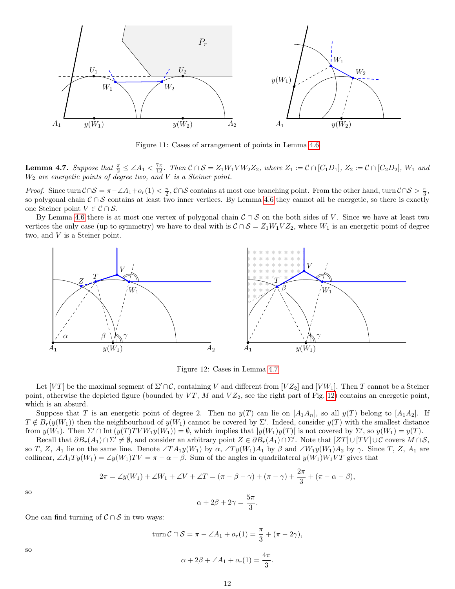

Figure 11: Cases of arrangement of points in Lemma [4.6](#page-10-2)

<span id="page-11-0"></span>**Lemma 4.7.** Suppose that  $\frac{\pi}{2} \leq \angle A_1 < \frac{7\pi}{12}$ . Then  $C \cap S = Z_1 W_1 V W_2 Z_2$ , where  $Z_1 := C \cap [C_1 D_1]$ ,  $Z_2 := C \cap [C_2 D_2]$ ,  $W_1$  and  $W_2$  are energetic points of degree two, and V is a Steiner point.

*Proof.* Since turn  $\mathcal{C} \cap \mathcal{S} = \pi - \angle A_1 + o_r(1) < \frac{\pi}{2}$ ,  $\mathcal{C} \cap \mathcal{S}$  contains at most one branching point. From the other hand, turn  $\mathcal{C} \cap \mathcal{S} > \frac{\pi}{3}$ , so polygonal chain  $C \cap S$  contains at least two inner vertices. By Lemma [4.6](#page-10-2) they cannot all be energetic, so there is exactly one Steiner point  $V \in \mathcal{C} \cap \mathcal{S}$ .

By Lemma [4.6](#page-10-2) there is at most one vertex of polygonal chain  $C \cap S$  on the both sides of V. Since we have at least two vertices the only case (up to symmetry) we have to deal with is  $C \cap S = Z_1W_1VZ_2$ , where  $W_1$  is an energetic point of degree two, and V is a Steiner point.



<span id="page-11-1"></span>Figure 12: Cases in Lemma [4.7](#page-11-0)

Let  $[VT]$  be the maximal segment of  $\Sigma' \cap C$ , containing V and different from  $[VZ_2]$  and  $[VW_1]$ . Then T cannot be a Steiner point, otherwise the depicted figure (bounded by  $VT$ , M and  $VZ_2$ , see the right part of Fig. [12\)](#page-11-1) contains an energetic point, which is an absurd.

Suppose that T is an energetic point of degree 2. Then no  $y(T)$  can lie on  $[A_1A_n]$ , so all  $y(T)$  belong to  $[A_1A_2]$ . If  $T \notin B_r(y(W_1))$  then the neighbourhood of  $y(W_1)$  cannot be covered by  $\Sigma'$ . Indeed, consider  $y(T)$  with the smallest distance from  $y(W_1)$ . Then  $\Sigma' \cap \text{Int}(y(T)T V W_1 y(W_1)) = \emptyset$ , which implies that  $]y(W_1)y(T)[$  is not covered by  $\Sigma'$ , so  $y(W_1) = y(T)$ .

Recall that  $\partial B_r(A_1) \cap \Sigma' \neq \emptyset$ , and consider an arbitrary point  $Z \in \partial B_r(A_1) \cap \Sigma'$ . Note that  $[ZT] \cup [TV] \cup \mathcal{C}$  covers  $M \cap \mathcal{S}$ , so T, Z, A<sub>1</sub> lie on the same line. Denote  $\angle TA_1y(W_1)$  by  $\alpha$ ,  $\angle Ty(W_1)A_1$  by  $\beta$  and  $\angle Wy(W_1)A_2$  by  $\gamma$ . Since T, Z, A<sub>1</sub> are collinear,  $\angle A_1 Ty(W_1) = \angle y(W_1)TV = \pi - \alpha - \beta$ . Sum of the angles in quadrilateral  $y(W_1)W_1VT$  gives that

$$
2\pi = \angle y(W_1) + \angle W_1 + \angle V + \angle T = (\pi - \beta - \gamma) + (\pi - \gamma) + \frac{2\pi}{3} + (\pi - \alpha - \beta),
$$

so

$$
\alpha + 2\beta + 2\gamma = \frac{5\pi}{3}.
$$

One can find turning of  $\mathcal{C} \cap \mathcal{S}$  in two ways:

turn 
$$
C \cap S = \pi - \angle A_1 + o_r(1) = \frac{\pi}{3} + (\pi - 2\gamma),
$$

$$
\alpha + 2\beta + \angle A_1 + o_r(1) = \frac{4\pi}{3}.
$$

so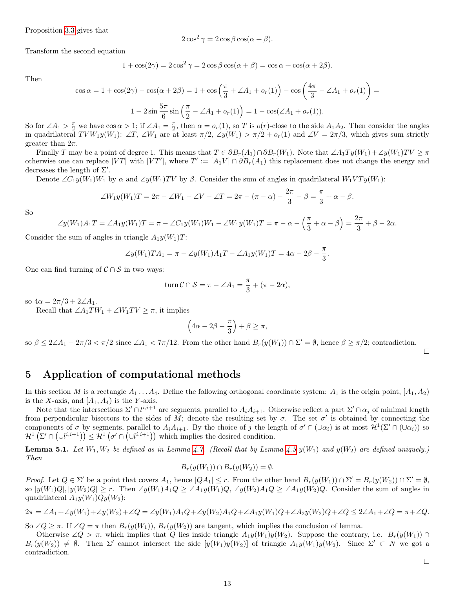Proposition [3.3](#page-6-2) gives that

$$
2\cos^2\gamma = 2\cos\beta\cos(\alpha+\beta).
$$

Transform the second equation

$$
1 + \cos(2\gamma) = 2\cos^2\gamma = 2\cos\beta\cos(\alpha + \beta) = \cos\alpha + \cos(\alpha + 2\beta).
$$

Then

$$
\cos \alpha = 1 + \cos(2\gamma) - \cos(\alpha + 2\beta) = 1 + \cos\left(\frac{\pi}{3} + \angle A_1 + o_r(1)\right) - \cos\left(\frac{4\pi}{3} - \angle A_1 + o_r(1)\right) =
$$
  

$$
1 - 2\sin\frac{5\pi}{6}\sin\left(\frac{\pi}{2} - \angle A_1 + o_r(1)\right) = 1 - \cos(\angle A_1 + o_r(1)).
$$

So for  $\angle A_1 > \frac{\pi}{2}$  we have  $\cos \alpha > 1$ ; if  $\angle A_1 = \frac{\pi}{2}$ , then  $\alpha = o_r(1)$ , so T is  $o(r)$ -close to the side  $A_1 A_2$ . Then consider the angles in quadrilateral  $TVW_1y(W_1): \angle T, \angle W_1$  are at least  $\pi/2, \angle y(W_1) > \pi/2 + o_r(1)$  and  $\angle V = 2\pi/3$ , which gives sum strictly greater than  $2\pi$ .

Finally T may be a point of degree 1. This means that  $T \in \partial B_r(A_1) \cap \partial B_r(W_1)$ . Note that  $\angle A_1Ty(W_1) + \angle y(W_1)TV \geq \pi$ otherwise one can replace [VT] with [VT'], where  $T' := [A_1 V] \cap \partial B_r(A_1)$  this replacement does not change the energy and decreases the length of  $\Sigma'$ .

Denote  $\angle C_1y(W_1)W_1$  by  $\alpha$  and  $\angle y(W_1)TV$  by  $\beta$ . Consider the sum of angles in quadrilateral  $W_1VTy(W_1)$ :

$$
\angle W_1 y(W_1) T = 2\pi - \angle W_1 - \angle V - \angle T = 2\pi - (\pi - \alpha) - \frac{2\pi}{3} - \beta = \frac{\pi}{3} + \alpha - \beta.
$$

So

$$
\angle y(W_1)A_1T = \angle A_1y(W_1)T = \pi - \angle C_1y(W_1)W_1 - \angle W_1y(W_1)T = \pi - \alpha - \left(\frac{\pi}{3} + \alpha - \beta\right) = \frac{2\pi}{3} + \beta - 2\alpha.
$$

Consider the sum of angles in triangle  $A_1y(W_1)T$ :

$$
\angle y(W_1)TA_1 = \pi - \angle y(W_1)A_1T - \angle A_1y(W_1)T = 4\alpha - 2\beta - \frac{\pi}{3}.
$$

One can find turning of  $\mathcal{C} \cap \mathcal{S}$  in two ways:

turn 
$$
C \cap S = \pi - \angle A_1 = \frac{\pi}{3} + (\pi - 2\alpha),
$$

so  $4\alpha = 2\pi/3 + 2\angle A_1$ .

Recall that  $\angle A_1TW_1 + \angle W_1TV \geq \pi$ , it implies

$$
\left(4\alpha - 2\beta - \frac{\pi}{3}\right) + \beta \ge \pi,
$$

so  $\beta \leq 2\angle A_1 - 2\pi/3 < \pi/2$  since  $\angle A_1 < 7\pi/12$ . From the other hand  $B_r(y(W_1)) \cap \Sigma' = \emptyset$ , hence  $\beta \geq \pi/2$ ; contradiction.

 $\Box$ 

 $\Box$ 

## <span id="page-12-0"></span>5 Application of computational methods

In this section M is a rectangle  $A_1 \ldots A_4$ . Define the following orthogonal coordinate system:  $A_1$  is the origin point,  $[A_1, A_2)$ is the X-axis, and  $[A_1, A_4]$  is the Y-axis.

Note that the intersections  $\Sigma' \cap l^{i,i+1}$  are segments, parallel to  $A_i A_{i+1}$ . Otherwise reflect a part  $\Sigma' \cap \alpha_j$  of minimal length from perpendicular bisectors to the sides of M; denote the resulting set by  $\sigma$ . The set  $\sigma'$  is obtained by connecting the components of  $\sigma$  by segments, parallel to  $A_i A_{i+1}$ . By the choice of j the length of  $\sigma' \cap (\cup \alpha_i)$  is at most  $\mathcal{H}^1(\Sigma' \cap (\cup \alpha_i))$  so  $\mathcal{H}^1(\Sigma' \cap (\cup l^{i,i+1})) \leq \mathcal{H}^1(\sigma' \cap (\cup l^{i,i+1}))$  which implies the desired condition.

<span id="page-12-1"></span>**Lemma 5.1.** Let  $W_1, W_2$  be defined as in Lemma [4.7.](#page-11-0) (Recall that by Lemma [4.5](#page-10-1)  $y(W_1)$  and  $y(W_2)$  are defined uniquely.) Then

$$
B_r(y(W_1)) \cap B_r(y(W_2)) = \emptyset.
$$

*Proof.* Let  $Q \in \Sigma'$  be a point that covers  $A_1$ , hence  $|QA_1| \leq r$ . From the other hand  $B_r(y(W_1)) \cap \Sigma' = B_r(y(W_2)) \cap \Sigma' = \emptyset$ , so  $|y(W_1)Q|, |y(W_2)Q| \ge r$ . Then  $\angle y(W_1)A_1Q \ge \angle A_1y(W_1)Q, \angle y(W_2)A_1Q \ge \angle A_1y(W_2)Q$ . Consider the sum of angles in quadrilateral  $A_1y(W_1)Qy(W_2)$ :

$$
2\pi = \angle A_1 + \angle y(W_1) + \angle y(W_2) + \angle Q = \angle y(W_1)A_1Q + \angle y(W_2)A_1Q + \angle A_1y(W_1)Q + \angle A_2y(W_2)Q + \angle Q \le 2\angle A_1 + \angle Q = \pi + \angle Q.
$$

So  $\angle Q \geq \pi$ . If  $\angle Q = \pi$  then  $B_r(y(W_1))$ ,  $B_r(y(W_2))$  are tangent, which implies the conclusion of lemma.

Otherwise ∠ $Q > \pi$ , which implies that Q lies inside triangle  $A_1y(W_1)y(W_2)$ . Suppose the contrary, i.e.  $B_r(y(W_1)) \cap$  $B_r(y(W_2)) \neq \emptyset$ . Then  $\Sigma'$  cannot intersect the side  $[y(W_1)y(W_2)]$  of triangle  $A_1y(W_1)y(W_2)$ . Since  $\Sigma' \subset N$  we got a contradiction.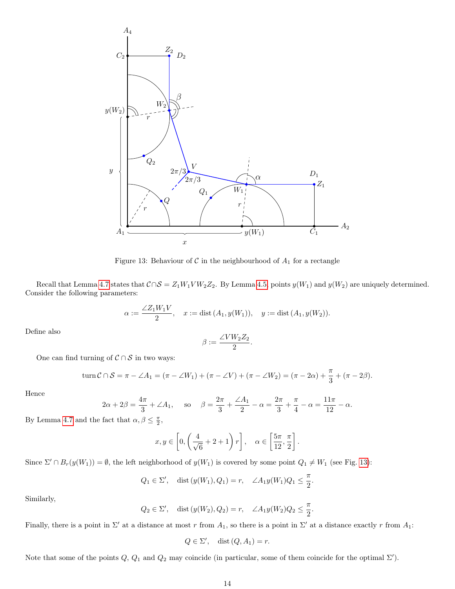

<span id="page-13-0"></span>Figure 13: Behaviour of  $C$  in the neighbourhood of  $A_1$  for a rectangle

Recall that Lemma [4.7](#page-11-0) states that  $C \cap S = Z_1 W_1 V W_2 Z_2$ . By Lemma [4.5,](#page-10-1) points  $y(W_1)$  and  $y(W_2)$  are uniquely determined. Consider the following parameters:

$$
\alpha := \frac{\angle Z_1 W_1 V}{2}, \quad x := \text{dist}(A_1, y(W_1)), \quad y := \text{dist}(A_1, y(W_2)).
$$

Define also

$$
\beta := \frac{\angle VW_2Z_2}{2}.
$$

One can find turning of  $C \cap S$  in two ways:

turn 
$$
C \cap S = \pi - \angle A_1 = (\pi - \angle W_1) + (\pi - \angle V) + (\pi - \angle W_2) = (\pi - 2\alpha) + \frac{\pi}{3} + (\pi - 2\beta).
$$

Hence

$$
2\alpha + 2\beta = \frac{4\pi}{3} + \angle A_1
$$
, so  $\beta = \frac{2\pi}{3} + \frac{\angle A_1}{2} - \alpha = \frac{2\pi}{3} + \frac{\pi}{4} - \alpha = \frac{11\pi}{12} - \alpha$ .

By Lemma [4.7](#page-11-0) and the fact that  $\alpha, \beta \leq \frac{\pi}{2}$ ,

$$
x, y \in \left[0, \left(\frac{4}{\sqrt{6}} + 2 + 1\right)r\right], \quad \alpha \in \left[\frac{5\pi}{12}, \frac{\pi}{2}\right].
$$

Since  $\Sigma' \cap B_r(y(W_1)) = \emptyset$ , the left neighborhood of  $y(W_1)$  is covered by some point  $Q_1 \neq W_1$  (see Fig. [13\)](#page-13-0):

$$
Q_1 \in \Sigma'
$$
, dist  $(y(W_1), Q_1) = r$ ,  $\angle A_1 y(W_1) Q_1 \le \frac{\pi}{2}$ 

.

Similarly,

$$
Q_2 \in \Sigma'
$$
, dist  $(y(W_2), Q_2) = r$ ,  $\angle A_1 y(W_2) Q_2 \le \frac{\pi}{2}$ .

Finally, there is a point in  $\Sigma'$  at a distance at most r from  $A_1$ , so there is a point in  $\Sigma'$  at a distance exactly r from  $A_1$ :

$$
Q \in \Sigma', \quad \text{dist}(Q, A_1) = r.
$$

Note that some of the points  $Q, Q_1$  and  $Q_2$  may coincide (in particular, some of them coincide for the optimal  $\Sigma'$ ).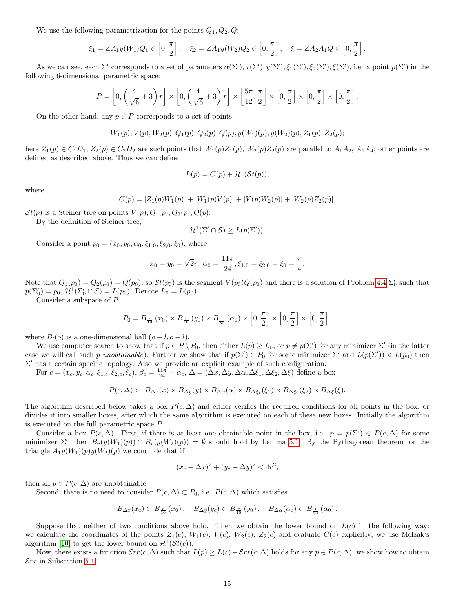We use the following parametrization for the points  $Q_1, Q_2, Q$ :

$$
\xi_1 = \angle A_1 y(W_1) Q_1 \in \left[0, \frac{\pi}{2}\right], \quad \xi_2 = \angle A_1 y(W_2) Q_2 \in \left[0, \frac{\pi}{2}\right], \quad \xi = \angle A_2 A_1 Q \in \left[0, \frac{\pi}{2}\right].
$$

As we can see, each  $\Sigma'$  corresponds to a set of parameters  $\alpha(\Sigma'), x(\Sigma'), \xi_1(\Sigma'), \xi_1(\Sigma'), \xi_2(\Sigma'), \xi(\Sigma')$ , i.e. a point  $p(\Sigma')$  in the following 6-dimensional parametric space:

$$
P = \left[0, \left(\frac{4}{\sqrt{6}} + 3\right)r\right] \times \left[0, \left(\frac{4}{\sqrt{6}} + 3\right)r\right] \times \left[\frac{5\pi}{12}, \frac{\pi}{2}\right] \times \left[0, \frac{\pi}{2}\right] \times \left[0, \frac{\pi}{2}\right] \times \left[0, \frac{\pi}{2}\right].
$$

On the other hand, any  $p \in P$  corresponds to a set of points

$$
W_1(p), V(p), W_2(p), Q_1(p), Q_2(p), Q(p), y(W_1)(p), y(W_2)(p), Z_1(p), Z_2(p);\\
$$

here  $Z_1(p) \in C_1D_1$ ,  $Z_2(p) \in C_2D_2$  are such points that  $W_1(p)Z_1(p)$ ,  $W_2(p)Z_2(p)$  are parallel to  $A_1A_2$ ,  $A_1A_4$ ; other points are defined as described above. Thus we can define

$$
L(p) = C(p) + \mathcal{H}^1(\mathcal{S}t(p)),
$$

where

$$
C(p) = |Z_1(p)W_1(p)| + |W_1(p)V(p)| + |V(p)W_2(p)| + |W_2(p)Z_2(p)|,
$$

 $St(p)$  is a Steiner tree on points  $V(p), Q_1(p), Q_2(p), Q(p)$ .

By the definition of Steiner tree,

$$
\mathcal{H}^1(\Sigma' \cap \mathcal{S}) \ge L(p(\Sigma')).
$$

Consider a point  $p_0 = (x_0, y_0, \alpha_0, \xi_{1,0}, \xi_{2,0}, \xi_0)$ , where

$$
x_0 = y_0 = \sqrt{2r}
$$
,  $\alpha_0 = \frac{11\pi}{24}$ ,  $\xi_{1,0} = \xi_{2,0} = \xi_0 = \frac{\pi}{4}$ .

Note that  $Q_1(p_0) = Q_2(p_0) = Q(p_0)$ , so  $St(p_0)$  is the segment  $V(p_0)Q(p_0)$  and there is a solution of Problem [4.4](#page-9-0)  $\Sigma'_0$  such that  $p(\Sigma_0') = p_0, \, \mathcal{H}^1(\Sigma_0' \cap \mathcal{S}) = L(p_0).$  Denote  $L_0 = L(p_0).$ 

Consider a subspace of P

$$
P_0 = \overline{B_{\frac{r}{10}}(x_0)} \times \overline{B_{\frac{r}{10}}(y_0)} \times \overline{B_{\frac{1}{30}}(\alpha_0)} \times \left[0, \frac{\pi}{2}\right] \times \left[0, \frac{\pi}{2}\right] \times \left[0, \frac{\pi}{2}\right],
$$

where  $B_l(o)$  is a one-dimensional ball  $(o - l, o + l)$ .

We use computer search to show that if  $p \in P \setminus P_0$ , then either  $L(p) \ge L_0$ , or  $p \ne p(\Sigma')$  for any minimizer  $\Sigma'$  (in the latter case we will call such p unobtainable). Further we show that if  $p(\Sigma') \in P_0$  for some minimizer  $\Sigma'$  and  $L(p(\Sigma')) < L(p_0)$  then  $\Sigma'$  has a certain specific topology. Also we provide an explicit example of such configuration.

For  $c = (x_c, y_c, \alpha_c, \xi_{1,c}, \xi_{2,c}, \xi_c)$ ,  $\beta_c = \frac{11\pi}{24} - \alpha_c$ ,  $\Delta = (\Delta x, \Delta y, \Delta \alpha, \Delta \xi_1, \Delta \xi_2, \Delta \xi)$  define a box

$$
P(c,\Delta) := \overline{B_{\Delta x}(x) \times B_{\Delta y}(y) \times B_{\Delta \alpha}(\alpha) \times B_{\Delta \xi_1}(\xi_1) \times B_{\Delta \xi_2}(\xi_2) \times B_{\Delta \xi}(\xi)}.
$$

The algorithm described below takes a box  $P(c, \Delta)$  and either verifies the required conditions for all points in the box, or divides it into smaller boxes, after which the same algorithm is executed on each of these new boxes. Initially the algorithm is executed on the full parametric space P.

Consider a box  $P(c,\Delta)$ . First, if there is at least one obtainable point in the box, i.e.  $p = p(\Sigma') \in P(c,\Delta)$  for some minimizer  $\Sigma'$ , then  $B_r(y(W_1)(p)) \cap B_r(y(W_2)(p)) = \emptyset$  should hold by Lemma [5.1.](#page-12-1) By the Pythagorean theorem for the triangle  $A_1y(W_1)(p)y(W_2)(p)$  we conclude that if

$$
(x_c + \Delta x)^2 + (y_c + \Delta y)^2 < 4r^2
$$

,

then all  $p \in P(c, \Delta)$  are unobtainable.

Second, there is no need to consider  $P(c, \Delta) \subset P_0$ , i.e.  $P(c, \Delta)$  which satisfies

$$
B_{\Delta x}(x_c) \subset B_{\frac{r}{10}}(x_0), \quad B_{\Delta y}(y_c) \subset B_{\frac{r}{10}}(y_0), \quad B_{\Delta \alpha}(\alpha_c) \subset B_{\frac{1}{30}}(\alpha_0).
$$

Suppose that neither of two conditions above hold. Then we obtain the lower bound on  $L(c)$  in the following way: we calculate the coordinates of the points  $Z_1(c)$ ,  $W_1(c)$ ,  $W_2(c)$ ,  $Z_2(c)$  and evaluate  $C(c)$  explicitly; we use Melzak's algorithm [\[10\]](#page-24-7) to get the lower bound on  $\mathcal{H}^1(\mathcal{S}t(c))$ .

Now, there exists a function  $\mathcal{E}rr(c,\Delta)$  such that  $L(p) \geq L(c) - \mathcal{E}rr(c,\Delta)$  holds for any  $p \in P(c,\Delta)$ ; we show how to obtain  $\mathcal{E}rr$  in Subsection [5.1.](#page-15-0)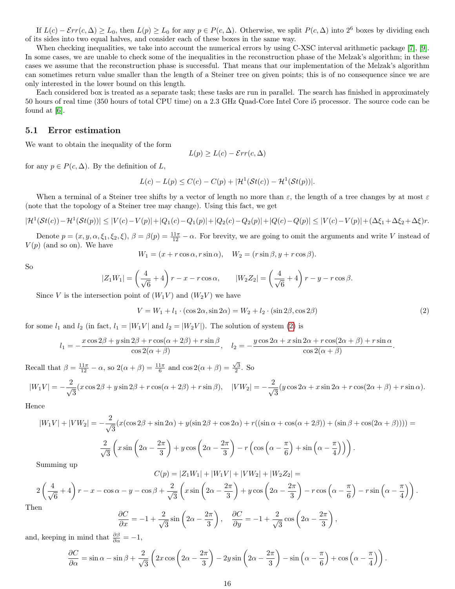If  $L(c) - \mathcal{E}rr(c, \Delta) \ge L_0$ , then  $L(p) \ge L_0$  for any  $p \in P(c, \Delta)$ . Otherwise, we split  $P(c, \Delta)$  into  $2^6$  boxes by dividing each of its sides into two equal halves, and consider each of these boxes in the same way.

When checking inequalities, we take into account the numerical errors by using C-XSC interval arithmetic package [\[7\]](#page-24-9), [\[9\]](#page-24-10). In some cases, we are unable to check some of the inequalities in the reconstruction phase of the Melzak's algorithm; in these cases we assume that the reconstruction phase is successful. That means that our implementation of the Melzak's algorithm can sometimes return value smaller than the length of a Steiner tree on given points; this is of no consequence since we are only interested in the lower bound on this length.

Each considered box is treated as a separate task; these tasks are run in parallel. The search has finished in approximately 50 hours of real time (350 hours of total CPU time) on a 2.3 GHz Quad-Core Intel Core i5 processor. The source code can be found at [\[6\]](#page-24-11).

### <span id="page-15-0"></span>5.1 Error estimation

We want to obtain the inequality of the form

$$
L(p) \ge L(c) - \mathcal{E}rr(c, \Delta)
$$

for any  $p \in P(c, \Delta)$ . By the definition of L,

$$
L(c) - L(p) \leq C(c) - C(p) + |\mathcal{H}^{1}(\mathcal{S}t(c)) - \mathcal{H}^{1}(\mathcal{S}t(p))|.
$$

When a terminal of a Steiner tree shifts by a vector of length no more than  $\varepsilon$ , the length of a tree changes by at most  $\varepsilon$ (note that the topology of a Steiner tree may change). Using this fact, we get

$$
|\mathcal{H}^1(\mathcal{S}t(c)) - \mathcal{H}^1(\mathcal{S}t(p))| \leq |V(c) - V(p)| + |Q_1(c) - Q_1(p)| + |Q_2(c) - Q_2(p)| + |Q(c) - Q(p)| \leq |V(c) - V(p)| + (\Delta \xi_1 + \Delta \xi_2 + \Delta \xi) r.
$$

Denote  $p = (x, y, \alpha, \xi_1, \xi_2, \xi), \ \beta = \beta(p) = \frac{11\pi}{12} - \alpha$ . For brevity, we are going to omit the arguments and write V instead of  $V(p)$  (and so on). We have

$$
W_1 = (x + r \cos \alpha, r \sin \alpha), \quad W_2 = (r \sin \beta, y + r \cos \beta).
$$

So

$$
|Z_1W_1| = \left(\frac{4}{\sqrt{6}} + 4\right)r - x - r\cos\alpha, \qquad |W_2Z_2| = \left(\frac{4}{\sqrt{6}} + 4\right)r - y - r\cos\beta.
$$

Since V is the intersection point of  $(W_1V)$  and  $(W_2V)$  we have

<span id="page-15-1"></span>
$$
V = W_1 + l_1 \cdot (\cos 2\alpha, \sin 2\alpha) = W_2 + l_2 \cdot (\sin 2\beta, \cos 2\beta)
$$
\n
$$
\tag{2}
$$

.

for some  $l_1$  and  $l_2$  (in fact,  $l_1 = |W_1V|$  and  $l_2 = |W_2V|$ ). The solution of system [\(2\)](#page-15-1) is

$$
l_1 = -\frac{x\cos 2\beta + y\sin 2\beta + r\cos(\alpha + 2\beta) + r\sin \beta}{\cos 2(\alpha + \beta)}, \quad l_2 = -\frac{y\cos 2\alpha + x\sin 2\alpha + r\cos(2\alpha + \beta) + r\sin \alpha}{\cos 2(\alpha + \beta)}.
$$

Recall that  $\beta = \frac{11\pi}{12} - \alpha$ , so  $2(\alpha + \beta) = \frac{11\pi}{6}$  and  $\cos 2(\alpha + \beta) = \frac{\sqrt{3}}{2}$ . So

$$
|W_1V| = -\frac{2}{\sqrt{3}}(x\cos 2\beta + y\sin 2\beta + r\cos(\alpha + 2\beta) + r\sin \beta), \quad |VW_2| = -\frac{2}{\sqrt{3}}(y\cos 2\alpha + x\sin 2\alpha + r\cos(2\alpha + \beta) + r\sin \alpha).
$$

Hence

$$
|W_1V| + |VW_2| = -\frac{2}{\sqrt{3}}(x(\cos 2\beta + \sin 2\alpha) + y(\sin 2\beta + \cos 2\alpha) + r((\sin \alpha + \cos(\alpha + 2\beta)) + (\sin \beta + \cos(2\alpha + \beta)))) =
$$
  

$$
\frac{2}{\sqrt{3}}\left(x\sin\left(2\alpha - \frac{2\pi}{3}\right) + y\cos\left(2\alpha - \frac{2\pi}{3}\right) - r\left(\cos\left(\alpha - \frac{\pi}{6}\right) + \sin\left(\alpha - \frac{\pi}{4}\right)\right)\right).
$$

Summing up

$$
C(p) = |Z_1W_1| + |W_1V| + |VW_2| + |W_2Z_2| =
$$

$$
2\left(\frac{4}{\sqrt{6}}+4\right)r - x - \cos\alpha - y - \cos\beta + \frac{2}{\sqrt{3}}\left(x\sin\left(2\alpha - \frac{2\pi}{3}\right) + y\cos\left(2\alpha - \frac{2\pi}{3}\right) - r\cos\left(\alpha - \frac{\pi}{6}\right) - r\sin\left(\alpha - \frac{\pi}{4}\right)\right).
$$
  
Then  

$$
\frac{\partial C}{\partial \alpha} = -2 \quad (\frac{2\pi}{3}) \quad \frac{\partial C}{\partial \alpha} = -2 \quad (\frac{2\pi}{3}) \quad \frac{\partial C}{\partial \alpha} = -2 \quad (\frac{2\pi}{3}) \quad \frac{\partial C}{\partial \alpha} = -2 \quad (\frac{2\pi}{3}) \quad \frac{\partial C}{\partial \alpha} = -2 \quad (\frac{2\pi}{3}) \quad \frac{\partial C}{\partial \alpha} = -2 \quad (\frac{2\pi}{3}) \quad \frac{\partial C}{\partial \alpha} = -2 \quad (\frac{2\pi}{3}) \quad \frac{\partial C}{\partial \alpha} = -2 \quad (\frac{2\pi}{3}) \quad \frac{\partial C}{\partial \alpha} = -2 \quad (\frac{2\pi}{3}) \quad \frac{\partial C}{\partial \alpha} = -2 \quad (\frac{2\pi}{3}) \quad \frac{\partial C}{\partial \alpha} = -2 \quad (\frac{2\pi}{3}) \quad \frac{\partial C}{\partial \alpha} = -2 \quad (\frac{2\pi}{3}) \quad \frac{\partial C}{\partial \alpha} = -2 \quad (\frac{2\pi}{3}) \quad \frac{\partial C}{\partial \alpha} = -2 \quad (\frac{2\pi}{3}) \quad \frac{\partial C}{\partial \alpha} = -2 \quad (\frac{2\pi}{3}) \quad \frac{\partial C}{\partial \alpha} = -2 \quad (\frac{2\pi}{3}) \quad \frac{\partial C}{\partial \alpha} = -2 \quad (\frac{2\pi}{3}) \quad \frac{\partial C}{\partial \alpha} = -2 \quad (\frac{2\pi}{3}) \quad \frac{\partial C}{\partial \alpha} = -2 \quad (\frac{2\pi}{3}) \quad \frac{\partial C}{\partial \alpha} = -2 \quad (\frac{2\pi}{3}) \quad \frac{\partial C}{\partial \alpha} = -2 \quad (\frac{2\pi}{3}) \quad \frac{\partial C}{\partial \alpha} = -2 \quad (\frac{2\pi}{3}) \quad \frac{\partial C}{\partial \alpha} = -2 \quad (\frac{2\pi}{3}) \quad \
$$

 $\mathbf T$ 

$$
\frac{\partial C}{\partial x} = -1 + \frac{2}{\sqrt{3}} \sin \left( 2\alpha - \frac{2\pi}{3} \right), \quad \frac{\partial C}{\partial y} = -1 + \frac{2}{\sqrt{3}} \cos \left( 2\alpha - \frac{2\pi}{3} \right),
$$

and, keeping in mind that  $\frac{\partial \beta}{\partial \alpha} = -1$ ,

$$
\frac{\partial C}{\partial \alpha} = \sin \alpha - \sin \beta + \frac{2}{\sqrt{3}} \left( 2x \cos \left( 2\alpha - \frac{2\pi}{3} \right) - 2y \sin \left( 2\alpha - \frac{2\pi}{3} \right) - \sin \left( \alpha - \frac{\pi}{6} \right) + \cos \left( \alpha - \frac{\pi}{4} \right) \right)
$$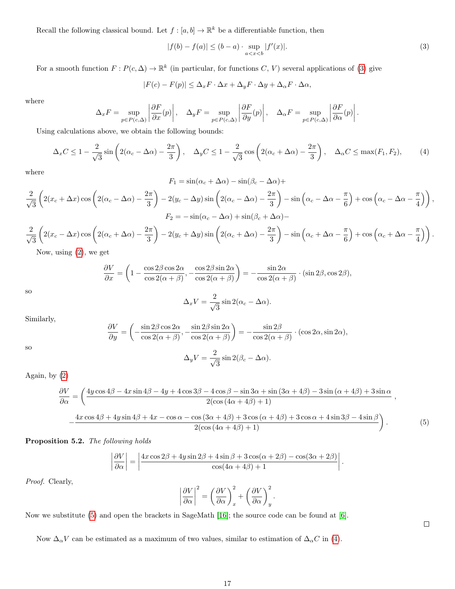Recall the following classical bound. Let  $f : [a, b] \to \mathbb{R}^k$  be a differentiable function, then

<span id="page-16-0"></span>
$$
|f(b) - f(a)| \le (b - a) \cdot \sup_{a < x < b} |f'(x)|. \tag{3}
$$

For a smooth function  $F: P(c, \Delta) \to \mathbb{R}^k$  (in particular, for functions  $C, V$ ) several applications of [\(3\)](#page-16-0) give

$$
|F(c) - F(p)| \leq \Delta_x F \cdot \Delta x + \Delta_y F \cdot \Delta y + \Delta_\alpha F \cdot \Delta \alpha,
$$

where

$$
\Delta_x F = \sup_{p \in P(c,\Delta)} \left| \frac{\partial F}{\partial x}(p) \right|, \quad \Delta_y F = \sup_{p \in P(c,\Delta)} \left| \frac{\partial F}{\partial y}(p) \right|, \quad \Delta_\alpha F = \sup_{p \in P(c,\Delta)} \left| \frac{\partial F}{\partial \alpha}(p) \right|.
$$

Using calculations above, we obtain the following bounds:

<span id="page-16-2"></span>
$$
\Delta_x C \le 1 - \frac{2}{\sqrt{3}} \sin \left( 2(\alpha_c - \Delta \alpha) - \frac{2\pi}{3} \right), \quad \Delta_y C \le 1 - \frac{2}{\sqrt{3}} \cos \left( 2(\alpha_c + \Delta \alpha) - \frac{2\pi}{3} \right), \quad \Delta_\alpha C \le \max(F_1, F_2),\tag{4}
$$

where

$$
F_1 = \sin(\alpha_c + \Delta \alpha) - \sin(\beta_c - \Delta \alpha) +
$$

$$
\frac{2}{\sqrt{3}}\left(2(x_c+\Delta x)\cos\left(2(\alpha_c-\Delta\alpha)-\frac{2\pi}{3}\right)-2(y_c-\Delta y)\sin\left(2(\alpha_c-\Delta\alpha)-\frac{2\pi}{3}\right)-\sin\left(\alpha_c-\Delta\alpha-\frac{\pi}{6}\right)+\cos\left(\alpha_c-\Delta\alpha-\frac{\pi}{4}\right)\right),\newline F_2=-\sin(\alpha_c-\Delta\alpha)+\sin(\beta_c+\Delta\alpha)-
$$

$$
\frac{2}{\sqrt{3}}\left(2(x_c-\Delta x)\cos\left(2(\alpha_c+\Delta\alpha)-\frac{2\pi}{3}\right)-2(y_c+\Delta y)\sin\left(2(\alpha_c+\Delta\alpha)-\frac{2\pi}{3}\right)-\sin\left(\alpha_c+\Delta\alpha-\frac{\pi}{6}\right)+\cos\left(\alpha_c+\Delta\alpha-\frac{\pi}{4}\right)\right).
$$

Now, using [\(2\)](#page-15-1), we get

$$
\frac{\partial V}{\partial x} = \left(1 - \frac{\cos 2\beta \cos 2\alpha}{\cos 2(\alpha + \beta)}, -\frac{\cos 2\beta \sin 2\alpha}{\cos 2(\alpha + \beta)}\right) = -\frac{\sin 2\alpha}{\cos 2(\alpha + \beta)} \cdot (\sin 2\beta, \cos 2\beta),
$$

so

$$
\Delta_x V = \frac{2}{\sqrt{3}} \sin 2(\alpha_c - \Delta \alpha).
$$

Similarly,

$$
\frac{\partial V}{\partial y} = \left( -\frac{\sin 2\beta \cos 2\alpha}{\cos 2(\alpha + \beta)}, -\frac{\sin 2\beta \sin 2\alpha}{\cos 2(\alpha + \beta)} \right) = -\frac{\sin 2\beta}{\cos 2(\alpha + \beta)} \cdot (\cos 2\alpha, \sin 2\alpha),
$$
  

$$
\Delta V = \frac{2}{\sin 2(\beta - \Delta\alpha)}
$$

so

$$
\Delta_y V = \frac{2}{\sqrt{3}} \sin 2(\beta_c - \Delta \alpha).
$$

Again, by [\(2\)](#page-15-1)

<span id="page-16-1"></span>
$$
\frac{\partial V}{\partial \alpha} = \left(\frac{4y\cos 4\beta - 4x\sin 4\beta - 4y + 4\cos 3\beta - 4\cos \beta - \sin 3\alpha + \sin (3\alpha + 4\beta) - 3\sin (\alpha + 4\beta) + 3\sin \alpha}{2(\cos (4\alpha + 4\beta) + 1)}\right),
$$

$$
-\frac{4x\cos 4\beta + 4y\sin 4\beta + 4x - \cos \alpha - \cos (3\alpha + 4\beta) + 3\cos (\alpha + 4\beta) + 3\cos \alpha + 4\sin 3\beta - 4\sin \beta}{2(\cos (4\alpha + 4\beta) + 1)}\right).
$$
(5)

Proposition 5.2. The following holds

$$
\left|\frac{\partial V}{\partial \alpha}\right| = \left|\frac{4x\cos 2\beta + 4y\sin 2\beta + 4\sin \beta + 3\cos(\alpha + 2\beta) - \cos(3\alpha + 2\beta)}{\cos(4\alpha + 4\beta) + 1}\right|.
$$

Proof. Clearly,

$$
\left. \frac{\partial V}{\partial \alpha} \right|^{2} = \left( \frac{\partial V}{\partial \alpha} \right)_{x}^{2} + \left( \frac{\partial V}{\partial \alpha} \right)_{y}^{2}.
$$

 $\Box$ 

Now we substitute [\(5\)](#page-16-1) and open the brackets in SageMath [\[16\]](#page-24-12); the source code can be found at [\[6\]](#page-24-11).

 $\overline{\phantom{a}}$  $\overline{\phantom{a}}$  $\overline{\phantom{a}}$  $\vert$ 

Now  $\Delta_{\alpha}V$  can be estimated as a maximum of two values, similar to estimation of  $\Delta_{\alpha}C$  in [\(4\)](#page-16-2).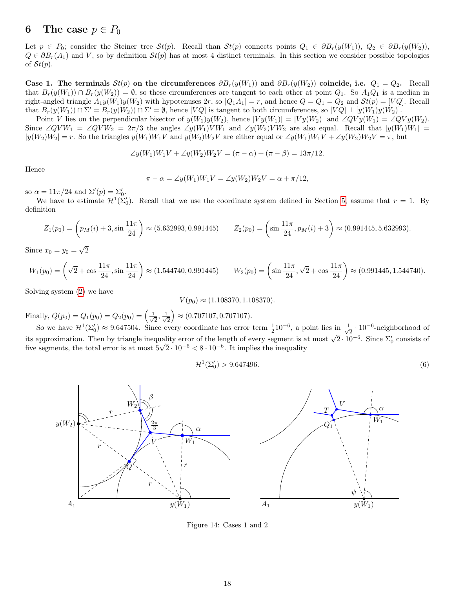## <span id="page-17-0"></span>6 The case  $p \in P_0$

Let  $p \in P_0$ ; consider the Steiner tree  $St(p)$ . Recall than  $St(p)$  connects points  $Q_1 \in \partial B_r(y(W_1)), Q_2 \in \partial B_r(y(W_2)),$  $Q \in \partial B_r(A_1)$  and V, so by definition  $St(p)$  has at most 4 distinct terminals. In this section we consider possible topologies of  $St(p)$ .

Case 1. The terminals  $St(p)$  on the circumferences  $\partial B_r(y(W_1))$  and  $\partial B_r(y(W_2))$  coincide, i.e.  $Q_1 = Q_2$ . Recall that  $B_r(y(W_1)) \cap B_r(y(W_2)) = \emptyset$ , so these circumferences are tangent to each other at point  $Q_1$ . So  $A_1Q_1$  is a median in right-angled triangle  $A_1y(W_1)y(W_2)$  with hypotenuses  $2r$ , so  $|Q_1A_1| = r$ , and hence  $Q = Q_1 = Q_2$  and  $St(p) = [VQ]$ . Recall that  $B_r(y(W_1)) \cap \Sigma' = B_r(y(W_2)) \cap \Sigma' = \emptyset$ , hence [VQ] is tangent to both circumferences, so [VQ]  $\perp [y(W_1)y(W_2)].$ 

Point V lies on the perpendicular bisector of  $y(W_1)y(W_2)$ , hence  $|V y(W_1)| = |V y(W_2)|$  and  $\angle QV y(W_1) = \angle QV y(W_2)$ . Since ∠QV $W_1 = \angle QVW_2 = 2\pi/3$  the angles ∠y(W<sub>1</sub>)VW<sub>1</sub> and ∠y(W<sub>2</sub>)VW<sub>2</sub> are also equal. Recall that  $|y(W_1)W_1|$  =  $|y(W_2)W_2| = r$ . So the triangles  $y(W_1)W_1V$  and  $y(W_2)W_2V$  are either equal or  $\angle y(W_1)W_1V + \angle y(W_2)W_2V = \pi$ , but

$$
\angle y(W_1)W_1V + \angle y(W_2)W_2V = (\pi - \alpha) + (\pi - \beta) = 13\pi/12.
$$

Hence

$$
\pi - \alpha = \angle y(W_1)W_1V = \angle y(W_2)W_2V = \alpha + \pi/12,
$$

so  $\alpha = 11\pi/24$  and  $\Sigma'(p) = \Sigma'_0$ .

We have to estimate  $\mathcal{H}^1(\Sigma_0')$ . Recall that we use the coordinate system defined in Section [5,](#page-12-0) assume that  $r=1$ . By definition

$$
Z_1(p_0) = \left(p_M(i) + 3, \sin\frac{11\pi}{24}\right) \approx (5.632993, 0.991445) \qquad Z_2(p_0) = \left(\sin\frac{11\pi}{24}, p_M(i) + 3\right) \approx (0.991445, 5.632993).
$$

Since  $x_0 = y_0 =$ √ 2

$$
W_1(p_0) = \left(\sqrt{2} + \cos\frac{11\pi}{24}, \sin\frac{11\pi}{24}\right) \approx (1.544740, 0.991445) \qquad W_2(p_0) = \left(\sin\frac{11\pi}{24}, \sqrt{2} + \cos\frac{11\pi}{24}\right) \approx (0.991445, 1.544740).
$$

Solving system [\(2\)](#page-15-1) we have

 $V(p_0) \approx (1.108370, 1.108370).$ 

Finally,  $Q(p_0) = Q_1(p_0) = Q_2(p_0) = \left(\frac{1}{\sqrt{2}}\right)$  $\frac{1}{2}, \frac{1}{\sqrt{2}}$  $\left( \frac{1}{2} \right) \approx (0.707107, 0.707107).$ 

So we have  $\mathcal{H}^1(\Sigma_0') \approx 9.647504$ . Since every coordinate has error term  $\frac{1}{2}10^{-6}$ , a point lies in  $\frac{1}{\sqrt{2}}$  $\frac{1}{2} \cdot 10^{-6}$ -neighborhood of its approximation. Then by triangle inequality error of the length of every segment is at most  $\sqrt{2} \cdot 10^{-6}$ . Since  $\Sigma'_{0}$  consists of five segments, the total error is at most  $5\sqrt{2} \cdot 10^{-6} < 8 \cdot 10^{-6}$ . It implies the inequality

<span id="page-17-1"></span>
$$
\mathcal{H}^1(\Sigma_0') > 9.647496. \tag{6}
$$



Figure 14: Cases 1 and 2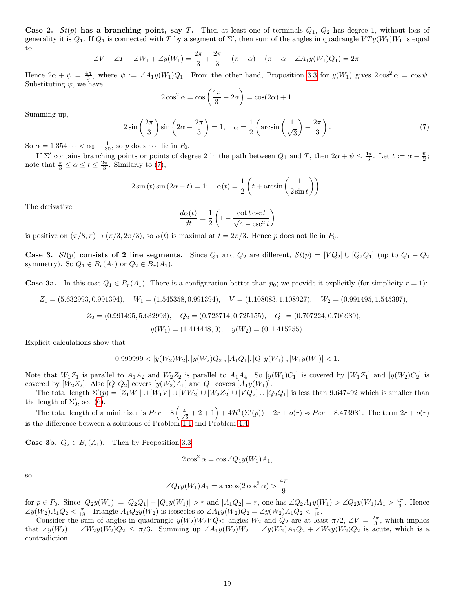Case 2.  $St(p)$  has a branching point, say T. Then at least one of terminals  $Q_1$ ,  $Q_2$  has degree 1, without loss of generality it is  $Q_1$ . If  $Q_1$  is connected with T by a segment of  $\Sigma'$ , then sum of the angles in quadrangle  $VTy(W_1)W_1$  is equal to

$$
\angle V + \angle T + \angle W_1 + \angle y(W_1) = \frac{2\pi}{3} + \frac{2\pi}{3} + (\pi - \alpha) + (\pi - \alpha - \angle A_1 y(W_1)Q_1) = 2\pi.
$$

Hence  $2\alpha + \psi = \frac{4\pi}{3}$ , where  $\psi := \angle A_1 y(W_1) Q_1$ . From the other hand, Proposition [3.3](#page-6-2) for  $y(W_1)$  gives  $2\cos^2 \alpha = \cos \psi$ . Substituting  $\psi$ , we have

$$
2\cos^2\alpha = \cos\left(\frac{4\pi}{3} - 2\alpha\right) = \cos(2\alpha) + 1.
$$

Summing up,

<span id="page-18-0"></span>
$$
2\sin\left(\frac{2\pi}{3}\right)\sin\left(2\alpha - \frac{2\pi}{3}\right) = 1, \quad \alpha = \frac{1}{2}\left(\arcsin\left(\frac{1}{\sqrt{3}}\right) + \frac{2\pi}{3}\right). \tag{7}
$$

So  $\alpha = 1.354 \cdots < \alpha_0 - \frac{1}{30}$ , so p does not lie in  $P_0$ .

If  $\Sigma'$  contains branching points or points of degree 2 in the path between  $Q_1$  and T, then  $2\alpha + \psi \leq \frac{4\pi}{3}$ . Let  $t := \alpha + \frac{\psi}{2}$ ; note that  $\frac{\pi}{3} \le \alpha \le t \le \frac{2\pi}{3}$ . Similarly to [\(7\)](#page-18-0),

$$
2\sin(t)\sin(2\alpha - t) = 1; \quad \alpha(t) = \frac{1}{2}\left(t + \arcsin\left(\frac{1}{2\sin t}\right)\right).
$$

The derivative

$$
\frac{d\alpha(t)}{dt} = \frac{1}{2} \left( 1 - \frac{\cot t \csc t}{\sqrt{4 - \csc^2 t}} \right)
$$

is positive on  $(\pi/8, \pi) \supset (\pi/3, 2\pi/3)$ , so  $\alpha(t)$  is maximal at  $t = 2\pi/3$ . Hence p does not lie in  $P_0$ .

Case 3.  $St(p)$  consists of 2 line segments. Since  $Q_1$  and  $Q_2$  are different,  $St(p) = [VQ_2] \cup [Q_2Q_1]$  (up to  $Q_1 - Q_2$ ) symmetry). So  $Q_1 \in B_r(A_1)$  or  $Q_2 \in B_r(A_1)$ .

**Case 3a.** In this case  $Q_1 \in B_r(A_1)$ . There is a configuration better than  $p_0$ ; we provide it explicitly (for simplicity  $r = 1$ ):

 $Z_1 = (5.632993, 0.991394), \quad W_1 = (1.545358, 0.991394), \quad V = (1.108083, 1.108927), \quad W_2 = (0.991495, 1.545397),$ 

 $Z_2 = (0.991495, 5.632993), \quad Q_2 = (0.723714, 0.725155), \quad Q_1 = (0.707224, 0.706989),$ 

 $y(W_1) = (1.414448, 0), \quad y(W_2) = (0, 1.415255).$ 

Explicit calculations show that

$$
0.999999 < |y(W_2)W_2|, |y(W_2)Q_2|, |A_1Q_1|, |Q_1y(W_1)|, |W_1y(W_1)| < 1.
$$

Note that  $W_1Z_1$  is parallel to  $A_1A_2$  and  $W_2Z_2$  is parallel to  $A_1A_4$ . So  $[y(W_1)C_1]$  is covered by  $[W_1Z_1]$  and  $[y(W_2)C_2]$  is covered by  $[W_2Z_2]$ . Also  $[Q_1Q_2]$  covers  $[y(W_2)A_1]$  and  $Q_1$  covers  $[A_1y(W_1)]$ .

The total length  $\Sigma'(p) = [Z_1W_1] \cup [W_1V] \cup [VW_2] \cup [W_2Z_2] \cup [VQ_2] \cup [Q_2Q_1]$  is less than 9.647492 which is smaller than the length of  $\Sigma_0'$ , see [\(6\)](#page-17-1).

The total length of a minimizer is  $Per - 8\left(\frac{4}{\sqrt{2}}\right)$  $\frac{1}{6} + 2 + 1$  +  $4\mathcal{H}^1(\Sigma'(p)) - 2r + o(r) \approx Per - 8.473981$ . The term  $2r + o(r)$ is the difference between a solutions of Problem [1.1](#page-0-0) and Problem [4.4.](#page-9-0)

**Case 3b.**  $Q_2 \in B_r(A_1)$ . Then by Proposition [3.3](#page-6-2)

$$
2\cos^2\alpha = \cos\angle Q_1y(W_1)A_1,
$$

so

$$
\angle Q_1 y(W_1) A_1 = \arccos(2 \cos^2 \alpha) > \frac{4\pi}{9}
$$

for  $p \in P_0$ . Since  $|Q_2y(W_1)| = |Q_2Q_1| + |Q_1y(W_1)| > r$  and  $|A_1Q_2| = r$ , one has  $\angle Q_2A_1y(W_1) > \angle Q_2y(W_1)A_1 > \frac{4\pi}{9}$ . Hence  $\angle y(W_2)A_1Q_2 < \frac{\pi}{18}$ . Triangle  $A_1Q_2y(W_2)$  is isosceles so  $\angle A_1y(W_2)Q_2 = \angle y(W_2)A_1Q_2 < \frac{\pi}{18}$ .

Consider the sum of angles in quadrangle  $y(W_2)W_2VQ_2$ : angles  $W_2$  and  $Q_2$  are at least  $\pi/2$ ,  $\angle V = \frac{2\pi}{3}$ , which implies that  $\angle y(W_2) = \angle W_2y(W_2)Q_2 \leq \pi/3$ . Summing up  $\angle A_1y(W_2)W_2 = \angle y(W_2)A_1Q_2 + \angle W_2y(W_2)Q_2$  is acute, which is a contradiction.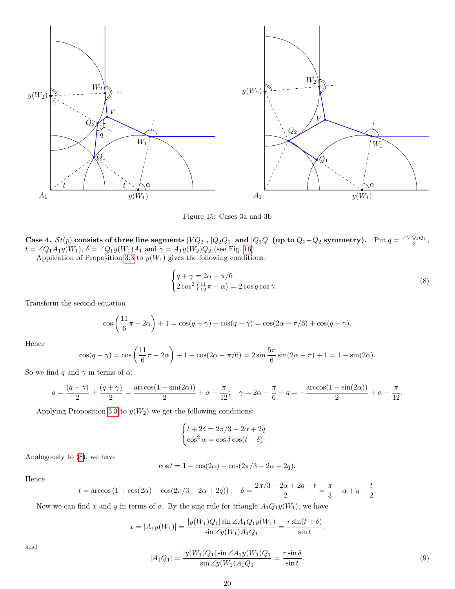

<span id="page-19-2"></span>Figure 15: Cases 3a and 3b

Case 4.  $St(p)$  consists of three line segments  $[VQ_2]$ ,  $[Q_2Q_1]$  and  $[Q_1Q]$  (up to  $Q_1-Q_2$  symmetry). Put  $q = \frac{\angle VQ_2Q_1}{2}$ ,  $t = \angle Q_1 A_1 y(W_1), \ \delta = \angle Q_1 y(W_1) A_1 \text{ and } \gamma = A_1 y(W_2) Q_2 \text{ (see Fig. 16)}.$  $t = \angle Q_1 A_1 y(W_1), \ \delta = \angle Q_1 y(W_1) A_1 \text{ and } \gamma = A_1 y(W_2) Q_2 \text{ (see Fig. 16)}.$  $t = \angle Q_1 A_1 y(W_1), \ \delta = \angle Q_1 y(W_1) A_1 \text{ and } \gamma = A_1 y(W_2) Q_2 \text{ (see Fig. 16)}.$ 

Application of Proposition [3.3](#page-6-2) to  $y(W_1)$  gives the following conditions:

<span id="page-19-0"></span>
$$
\begin{cases} q + \gamma = 2\alpha - \pi/6 \\ 2\cos^2\left(\frac{11}{12}\pi - \alpha\right) = 2\cos q \cos \gamma. \end{cases} \tag{8}
$$

Transform the second equation

$$
\cos\left(\frac{11}{6}\pi - 2\alpha\right) + 1 = \cos(q + \gamma) + \cos(q - \gamma) = \cos(2\alpha - \pi/6) + \cos(q - \gamma).
$$

Hence

$$
\cos(q - \gamma) = \cos\left(\frac{11}{6}\pi - 2\alpha\right) + 1 - \cos(2\alpha - \pi/6) = 2\sin\frac{5\pi}{6}\sin(2\alpha - \pi) + 1 = 1 - \sin(2\alpha).
$$

So we find q and  $\gamma$  in terms of  $\alpha$ :

$$
q = \frac{(q - \gamma)}{2} + \frac{(q + \gamma)}{2} = \frac{\arccos(1 - \sin(2\alpha))}{2} + \alpha - \frac{\pi}{12}; \quad \gamma = 2\alpha - \frac{\pi}{6} - q = -\frac{\arccos(1 - \sin(2\alpha))}{2} + \alpha - \frac{\pi}{12}.
$$

Applying Proposition [3.3](#page-6-2) to  $y(W_2)$  we get the following conditions:

$$
\begin{cases} t + 2\delta = 2\pi/3 - 2\alpha + 2q \\ \cos^2 \alpha = \cos \delta \cos(t + \delta). \end{cases}
$$

Analogously to [\(8\)](#page-19-0), we have

$$
\cos t = 1 + \cos(2\alpha) - \cos(2\pi/3 - 2\alpha + 2q).
$$

Hence

$$
t = \arccos(1 + \cos(2\alpha) - \cos(2\pi/3 - 2\alpha + 2q));
$$
  $\delta = \frac{2\pi/3 - 2\alpha + 2q - t}{2} = \frac{\pi}{3} - \alpha + q - \frac{t}{2}.$ 

Now we can find x and y in terms of  $\alpha$ . By the sine rule for triangle  $A_1Q_1y(W_1)$ , we have

$$
x = |A_1y(W_1)| = \frac{|y(W_1)Q_1|\sin\angle A_1Q_1y(W_1)}{\sin\angle y(W_1)A_1Q_1} = \frac{r\sin(t+\delta)}{\sin t},
$$

and

<span id="page-19-1"></span>
$$
|A_1 Q_1| = \frac{|y(W_1)Q_1|\sin\angle A_1 y(W_1)Q_1}{\sin\angle y(W_1)A_1Q_1} = \frac{r\sin\delta}{\sin t}.
$$
\n(9)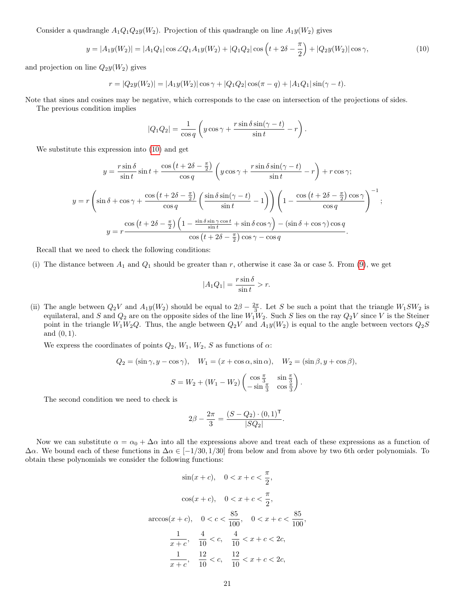Consider a quadrangle  $A_1Q_1Q_2y(W_2)$ . Projection of this quadrangle on line  $A_1y(W_2)$  gives

<span id="page-20-0"></span>
$$
y = |A_1y(W_2)| = |A_1Q_1|\cos\angle Q_1A_1y(W_2) + |Q_1Q_2|\cos\left(t + 2\delta - \frac{\pi}{2}\right) + |Q_2y(W_2)|\cos\gamma,\tag{10}
$$

and projection on line  $Q_2y(W_2)$  gives

$$
r = |Q_2y(W_2)| = |A_1y(W_2)| \cos \gamma + |Q_1Q_2| \cos(\pi - q) + |A_1Q_1| \sin(\gamma - t).
$$

Note that sines and cosines may be negative, which corresponds to the case on intersection of the projections of sides.

The previous condition implies

$$
|Q_1 Q_2| = \frac{1}{\cos q} \left( y \cos \gamma + \frac{r \sin \delta \sin(\gamma - t)}{\sin t} - r \right).
$$

We substitute this expression into [\(10\)](#page-20-0) and get

$$
y = \frac{r \sin \delta}{\sin t} \sin t + \frac{\cos \left(t + 2\delta - \frac{\pi}{2}\right)}{\cos q} \left(y \cos \gamma + \frac{r \sin \delta \sin \left(\gamma - t\right)}{\sin t} - r\right) + r \cos \gamma;
$$
  

$$
y = r \left(\sin \delta + \cos \gamma + \frac{\cos \left(t + 2\delta - \frac{\pi}{2}\right)}{\cos q} \left(\frac{\sin \delta \sin \left(\gamma - t\right)}{\sin t} - 1\right)\right) \left(1 - \frac{\cos \left(t + 2\delta - \frac{\pi}{2}\right) \cos \gamma}{\cos q}\right)^{-1};
$$

$$
y = r \frac{\cos \left(t + 2\delta - \frac{\pi}{2}\right) \left(1 - \frac{\sin \delta \sin \gamma \cos t}{\sin t} + \sin \delta \cos \gamma\right) - (\sin \delta + \cos \gamma) \cos q}{\cos \left(t + 2\delta - \frac{\pi}{2}\right) \cos \gamma - \cos q}.
$$

Recall that we need to check the following conditions:

(i) The distance between  $A_1$  and  $Q_1$  should be greater than r, otherwise it case 3a or case 5. From [\(9\)](#page-19-1), we get

$$
|A_1 Q_1| = \frac{r \sin \delta}{\sin t} > r.
$$

(ii) The angle between  $Q_2V$  and  $A_1y(W_2)$  should be equal to  $2\beta - \frac{2\pi}{3}$ . Let S be such a point that the triangle  $W_1SW_2$  is equilateral, and S and  $Q_2$  are on the opposite sides of the line  $W_1W_2$ . Such S lies on the ray  $Q_2V$  since V is the Steiner point in the triangle  $W_1W_2Q$ . Thus, the angle between  $Q_2V$  and  $A_1y(W_2)$  is equal to the angle between vectors  $Q_2S$ and  $(0, 1)$ .

We express the coordinates of points  $Q_2$ ,  $W_1$ ,  $W_2$ ,  $S$  as functions of  $\alpha$ :

$$
Q_2 = (\sin \gamma, y - \cos \gamma), \quad W_1 = (x + \cos \alpha, \sin \alpha), \quad W_2 = (\sin \beta, y + \cos \beta),
$$

$$
S = W_2 + (W_1 - W_2) \begin{pmatrix} \cos \frac{\pi}{3} & \sin \frac{\pi}{3} \\ -\sin \frac{\pi}{3} & \cos \frac{\pi}{3} \end{pmatrix}.
$$

The second condition we need to check is

$$
2\beta - \frac{2\pi}{3} = \frac{(S - Q_2) \cdot (0, 1)^{\mathsf{T}}}{|SQ_2|}
$$

.

,

Now we can substitute  $\alpha = \alpha_0 + \Delta \alpha$  into all the expressions above and treat each of these expressions as a function of  $\Delta \alpha$ . We bound each of these functions in  $\Delta \alpha \in [-1/30, 1/30]$  from below and from above by two 6th order polynomials. To obtain these polynomials we consider the following functions:

$$
\sin(x + c), \quad 0 < x + c < \frac{\pi}{2},
$$
\n
$$
\cos(x + c), \quad 0 < x + c < \frac{\pi}{2},
$$
\n
$$
\arccos(x + c), \quad 0 < c < \frac{85}{100}, \quad 0 < x + c < \frac{85}{100}
$$
\n
$$
\frac{1}{x + c}, \quad \frac{4}{10} < c, \quad \frac{4}{10} < x + c < 2c,
$$
\n
$$
\frac{1}{x + c}, \quad \frac{12}{10} < c, \quad \frac{12}{10} < x + c < 2c,
$$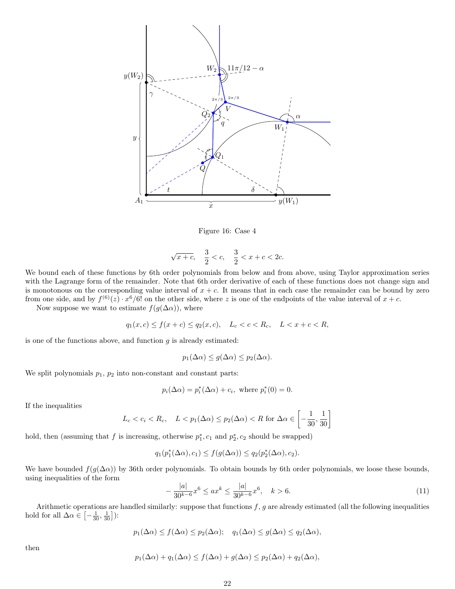

<span id="page-21-0"></span>Figure 16: Case 4

$$
\sqrt{x+c}
$$
,  $\frac{3}{2} < c$ ,  $\frac{3}{2} < x + c < 2c$ .

We bound each of these functions by 6th order polynomials from below and from above, using Taylor approximation series with the Lagrange form of the remainder. Note that 6th order derivative of each of these functions does not change sign and is monotonous on the corresponding value interval of  $x + c$ . It means that in each case the remainder can be bound by zero from one side, and by  $f^{(6)}(z) \cdot x^6/6!$  on the other side, where z is one of the endpoints of the value interval of  $x + c$ .

Now suppose we want to estimate  $f(g(\Delta \alpha))$ , where

$$
q_1(x, c) \le f(x + c) \le q_2(x, c), \quad L_c < c < R_c, \quad L < x + c < R,
$$

is one of the functions above, and function  $g$  is already estimated:

$$
p_1(\Delta \alpha) \le g(\Delta \alpha) \le p_2(\Delta \alpha).
$$

We split polynomials  $p_1$ ,  $p_2$  into non-constant and constant parts:

$$
p_i(\Delta \alpha) = p_i^*(\Delta \alpha) + c_i, \text{ where } p_i^*(0) = 0.
$$

If the inequalities

$$
L_c < c_i < R_c, \quad L < p_1(\Delta \alpha) \le p_2(\Delta \alpha) < R \text{ for } \Delta \alpha \in \left[ -\frac{1}{30}, \frac{1}{30} \right]
$$

hold, then (assuming that f is increasing, otherwise  $p_1^*, c_1$  and  $p_2^*, c_2$  should be swapped)

$$
q_1(p_1^*(\Delta \alpha), c_1) \le f(g(\Delta \alpha)) \le q_2(p_2^*(\Delta \alpha), c_2).
$$

We have bounded  $f(g(\Delta \alpha))$  by 36th order polynomials. To obtain bounds by 6th order polynomials, we loose these bounds, using inequalities of the form

<span id="page-21-1"></span>
$$
-\frac{|a|}{30^{k-6}}x^6 \le ax^k \le \frac{|a|}{30^{k-6}}x^6, \quad k > 6. \tag{11}
$$

Arithmetic operations are handled similarly: suppose that functions  $f, g$  are already estimated (all the following inequalities hold for all  $\Delta \alpha \in \left[ -\frac{1}{30}, \frac{1}{30} \right]$ ):

$$
p_1(\Delta \alpha) \le f(\Delta \alpha) \le p_2(\Delta \alpha);
$$
  $q_1(\Delta \alpha) \le g(\Delta \alpha) \le q_2(\Delta \alpha),$ 

then

$$
p_1(\Delta \alpha) + q_1(\Delta \alpha) \le f(\Delta \alpha) + g(\Delta \alpha) \le p_2(\Delta \alpha) + q_2(\Delta \alpha),
$$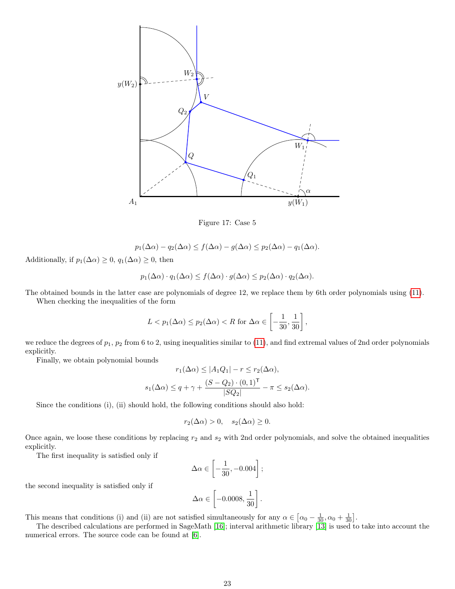

Figure 17: Case 5

$$
p_1(\Delta \alpha) - q_2(\Delta \alpha) \le f(\Delta \alpha) - g(\Delta \alpha) \le p_2(\Delta \alpha) - q_1(\Delta \alpha).
$$

Additionally, if  $p_1(\Delta \alpha) \geq 0$ ,  $q_1(\Delta \alpha) \geq 0$ , then

$$
p_1(\Delta \alpha) \cdot q_1(\Delta \alpha) \le f(\Delta \alpha) \cdot g(\Delta \alpha) \le p_2(\Delta \alpha) \cdot q_2(\Delta \alpha).
$$

The obtained bounds in the latter case are polynomials of degree 12, we replace them by 6th order polynomials using [\(11\)](#page-21-1).

When checking the inequalities of the form

$$
L < p_1(\Delta \alpha) \le p_2(\Delta \alpha) < R \text{ for } \Delta \alpha \in \left[ -\frac{1}{30}, \frac{1}{30} \right]
$$

,

we reduce the degrees of  $p_1$ ,  $p_2$  from 6 to 2, using inequalities similar to [\(11\)](#page-21-1), and find extremal values of 2nd order polynomials explicitly.

Finally, we obtain polynomial bounds

$$
r_1(\Delta \alpha) \le |A_1 Q_1| - r \le r_2(\Delta \alpha),
$$
  

$$
s_1(\Delta \alpha) \le q + \gamma + \frac{(S - Q_2) \cdot (0, 1)^{\mathsf{T}}}{|SQ_2|} - \pi \le s_2(\Delta \alpha).
$$

Since the conditions (i), (ii) should hold, the following conditions should also hold:

$$
r_2(\Delta \alpha) > 0, \quad s_2(\Delta \alpha) \ge 0.
$$

Once again, we loose these conditions by replacing  $r_2$  and  $s_2$  with 2nd order polynomials, and solve the obtained inequalities explicitly.

The first inequality is satisfied only if

$$
\Delta \alpha \in \left[ -\frac{1}{30}, -0.004 \right];
$$

the second inequality is satisfied only if

$$
\Delta \alpha \in \left[ -0.0008, \frac{1}{30} \right].
$$

This means that conditions (i) and (ii) are not satisfied simultaneously for any  $\alpha \in [\alpha_0 - \frac{1}{30}, \alpha_0 + \frac{1}{30}]$ .

The described calculations are performed in SageMath [\[16\]](#page-24-12); interval arithmetic library [\[13\]](#page-24-13) is used to take into account the numerical errors. The source code can be found at [\[6\]](#page-24-11).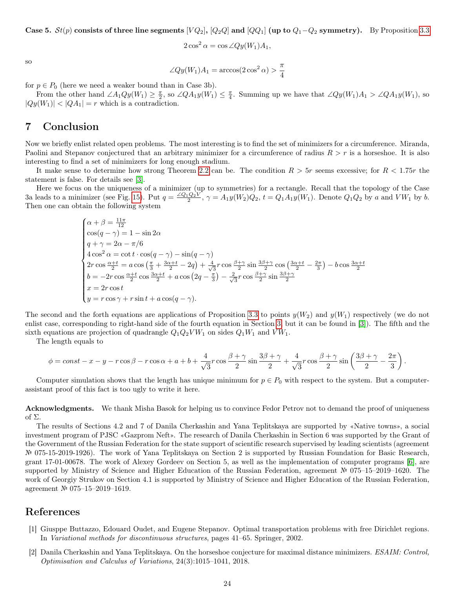Case 5.  $St(p)$  consists of three line segments  $[VQ_2]$ ,  $[Q_2Q]$  and  $[QQ_1]$  (up to  $Q_1-Q_2$  symmetry). By Proposition [3.3](#page-6-2)

$$
2\cos^2\alpha = \cos\angle Qy(W_1)A_1,
$$

so

$$
\angle Qy(W_1)A_1 = \arccos(2\cos^2\alpha) > \frac{\pi}{4}
$$

for  $p \in P_0$  (here we need a weaker bound than in Case 3b).

From the other hand  $\angle A_1Qy(W_1) \geq \frac{\pi}{2}$ , so  $\angle QA_1y(W_1) \leq \frac{\pi}{4}$ . Summing up we have that  $\angle Qy(W_1)A_1 > \angle QA_1y(W_1)$ , so  $|Qy(W_1)| < |QA_1| = r$  which is a contradiction.

## <span id="page-23-2"></span>7 Conclusion

Now we briefly enlist related open problems. The most interesting is to find the set of minimizers for a circumference. Miranda, Paolini and Stepanov conjectured that an arbitrary minimizer for a circumference of radius  $R > r$  is a horseshoe. It is also interesting to find a set of minimizers for long enough stadium.

It make sense to determine how strong Theorem [2.2](#page-2-3) can be. The condition  $R > 5r$  seems excessive; for  $R < 1.75r$  the statement is false. For details see [\[3\]](#page-24-2).

Here we focus on the uniqueness of a minimizer (up to symmetries) for a rectangle. Recall that the topology of the Case 3a leads to a minimizer (see Fig. [15\)](#page-19-2). Put  $q = \frac{\angle Q_1 Q_2 V}{2}$ ,  $\gamma = A_1 y(W_2) Q_2$ ,  $t = Q_1 A_1 y(W_1)$ . Denote  $Q_1 Q_2$  by a and  $V W_1$  by b. Then one can obtain the following system

$$
\begin{cases}\n\alpha + \beta = \frac{11\pi}{12} \\
\cos(q - \gamma) = 1 - \sin 2\alpha \\
q + \gamma = 2\alpha - \pi/6 \\
4\cos^2 \alpha = \cot t \cdot \cos(q - \gamma) - \sin(q - \gamma) \\
2r \cos \frac{\alpha + t}{2} = a \cos \left(\frac{\pi}{3} + \frac{3\alpha + t}{2} - 2q\right) + \frac{4}{\sqrt{3}}r \cos \frac{\beta + \gamma}{2} \sin \frac{3\beta + \gamma}{2} \cos \left(\frac{3\alpha + t}{2} - \frac{2\pi}{3}\right) - b \cos \frac{3\alpha + t}{2} \\
b = -2r \cos \frac{\alpha + t}{2} \cos \frac{3\alpha + t}{2} + a \cos \left(2q - \frac{\pi}{3}\right) - \frac{2}{\sqrt{3}}r \cos \frac{\beta + \gamma}{2} \sin \frac{3\beta + \gamma}{2} \\
x = 2r \cos t \\
y = r \cos \gamma + r \sin t + a \cos(q - \gamma).\n\end{cases}
$$

The second and the forth equations are applications of Proposition [3.3](#page-6-2) to points  $y(W_2)$  and  $y(W_1)$  respectively (we do not enlist case, corresponding to right-hand side of the fourth equation in Section [3,](#page-5-1) but it can be found in [\[3\]](#page-24-2)). The fifth and the sixth equations are projection of quadrangle  $Q_1Q_2VW_1$  on sides  $Q_1W_1$  and  $VW_1$ .

The length equals to

$$
\phi = const - x - y - r\cos\beta - r\cos\alpha + a + b + \frac{4}{\sqrt{3}}r\cos\frac{\beta + \gamma}{2}\sin\frac{3\beta + \gamma}{2} + \frac{4}{\sqrt{3}}r\cos\frac{\beta + \gamma}{2}\sin\left(\frac{3\beta + \gamma}{2} - \frac{2\pi}{3}\right).
$$

Computer simulation shows that the length has unique minimum for  $p \in P_0$  with respect to the system. But a computerassistant proof of this fact is too ugly to write it here.

Acknowledgments. We thank Misha Basok for helping us to convince Fedor Petrov not to demand the proof of uniqueness of Σ.

The results of Sections 4.2 and 7 of Danila Cherkashin and Yana Teplitskaya are supported by «Native towns», a social investment program of PJSC «Gazprom Neft». The research of Danila Cherkashin in Section 6 was supported by the Grant of the Government of the Russian Federation for the state support of scientific research supervised by leading scientists (agreement № 075-15-2019-1926). The work of Yana Teplitskaya on Section 2 is supported by Russian Foundation for Basic Research, grant 17-01-00678. The work of Alexey Gordeev on Section 5, as well as the implementation of computer programs [\[6\]](#page-24-11), are supported by Ministry of Science and Higher Education of the Russian Federation, agreement № 075–15–2019–1620. The work of Georgiy Strukov on Section 4.1 is supported by Ministry of Science and Higher Education of the Russian Federation, agreement № 075–15–2019–1619.

## References

- <span id="page-23-0"></span>[1] Giusppe Buttazzo, Edouard Oudet, and Eugene Stepanov. Optimal transportation problems with free Dirichlet regions. In Variational methods for discontinuous structures, pages 41–65. Springer, 2002.
- <span id="page-23-1"></span>[2] Danila Cherkashin and Yana Teplitskaya. On the horseshoe conjecture for maximal distance minimizers. ESAIM: Control, Optimisation and Calculus of Variations, 24(3):1015–1041, 2018.